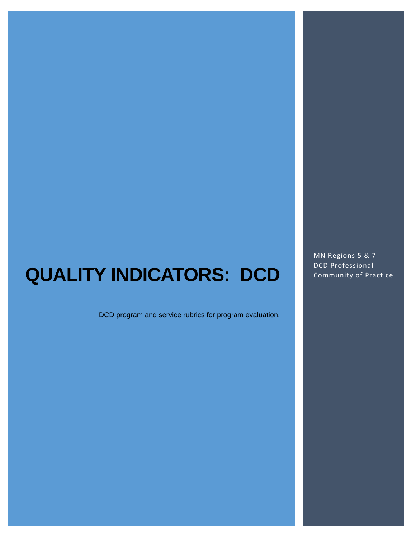## **QUALITY INDICATORS: DCD**

DCD program and service rubrics for program evaluation.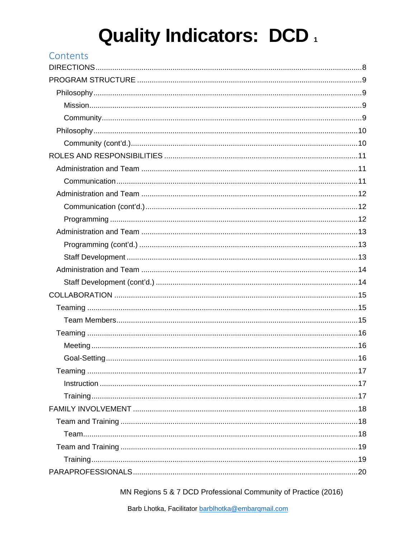| Contents |  |
|----------|--|
|          |  |
|          |  |
|          |  |
|          |  |
|          |  |
|          |  |
|          |  |
|          |  |
|          |  |
|          |  |
|          |  |
|          |  |
|          |  |
|          |  |
|          |  |
|          |  |
|          |  |
|          |  |
|          |  |
|          |  |
|          |  |
|          |  |
|          |  |
|          |  |
|          |  |
|          |  |
|          |  |
|          |  |
|          |  |
|          |  |
|          |  |
|          |  |
|          |  |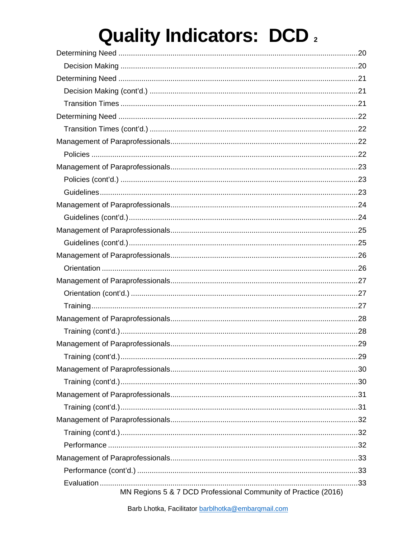| MN Regions 5 & 7 DCD Professional Community of Practice (2016) |  |
|----------------------------------------------------------------|--|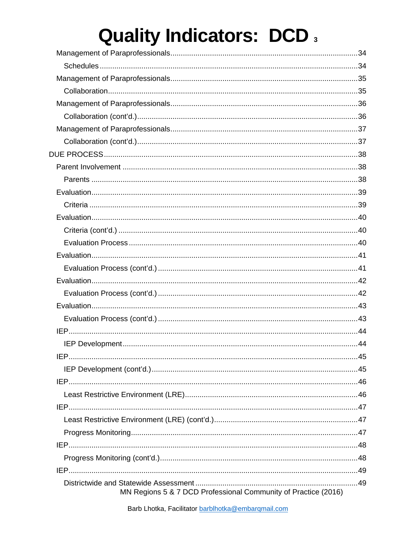| MN Regions 5 & 7 DCD Professional Community of Practice (2016) |  |
|----------------------------------------------------------------|--|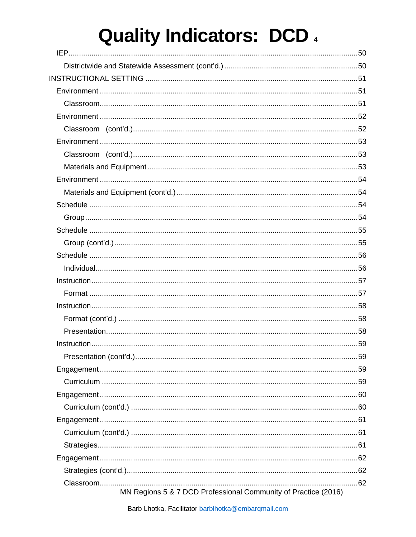| MN Regions 5 & 7 DCD Professional Community of Practice (2016) |  |
|----------------------------------------------------------------|--|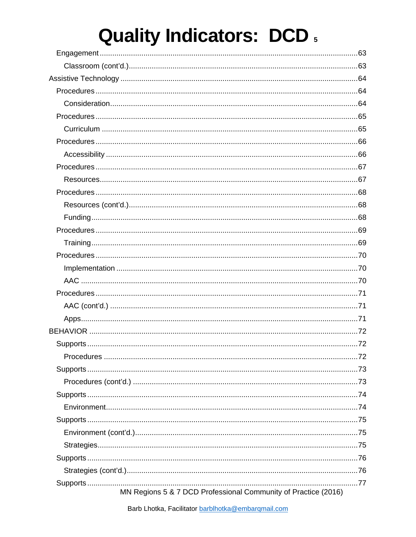| MN Regions 5 & 7 DCD Professional Community of Practice (2016) |  |
|----------------------------------------------------------------|--|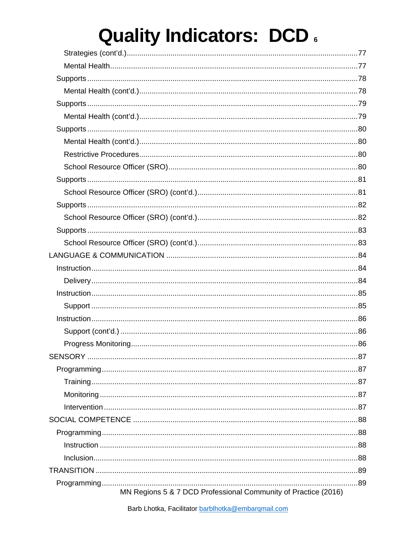| MN Regions 5 & 7 DCD Professional Community of Practice (2016) |  |
|----------------------------------------------------------------|--|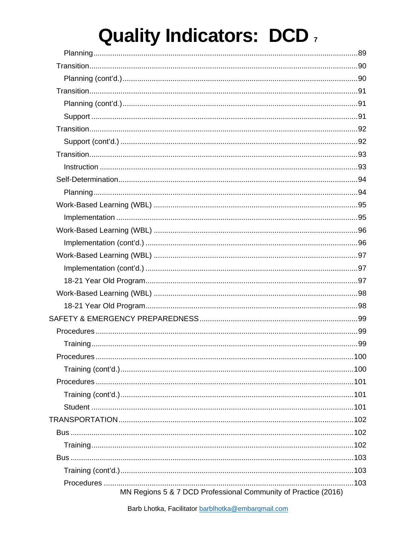| MN Regions 5 & 7 DCD Professional Community of Practice (2016) |  |
|----------------------------------------------------------------|--|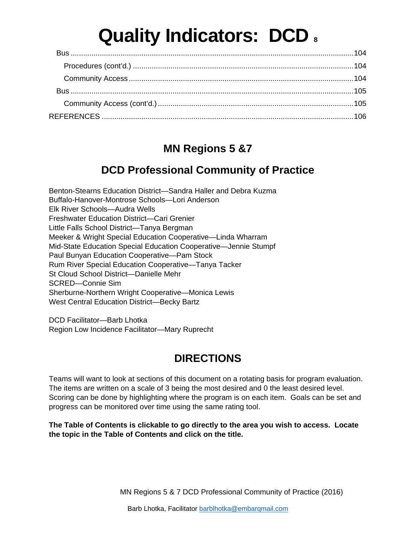### **MN Regions 5 &7**

### **DCD Professional Community of Practice**

<span id="page-8-0"></span>Benton-Stearns Education District—Sandra Haller and Debra Kuzma Buffalo-Hanover-Montrose Schools—Lori Anderson Elk River Schools—Audra Wells Freshwater Education District—Cari Grenier Little Falls School District—Tanya Bergman Meeker & Wright Special Education Cooperative—Linda Wharram Mid-State Education Special Education Cooperative—Jennie Stumpf Paul Bunyan Education Cooperative—Pam Stock Rum River Special Education Cooperative—Tanya Tacker St Cloud School District—Danielle Mehr SCRED—Connie Sim Sherburne-Northern Wright Cooperative—Monica Lewis West Central Education District—Becky Bartz

DCD Facilitator—Barb Lhotka Region Low Incidence Facilitator—Mary Ruprecht

### **DIRECTIONS**

Teams will want to look at sections of this document on a rotating basis for program evaluation. The items are written on a scale of 3 being the most desired and 0 the least desired level. Scoring can be done by highlighting where the program is on each item. Goals can be set and progress can be monitored over time using the same rating tool.

**The Table of Contents is clickable to go directly to the area you wish to access. Locate the topic in the Table of Contents and click on the title.**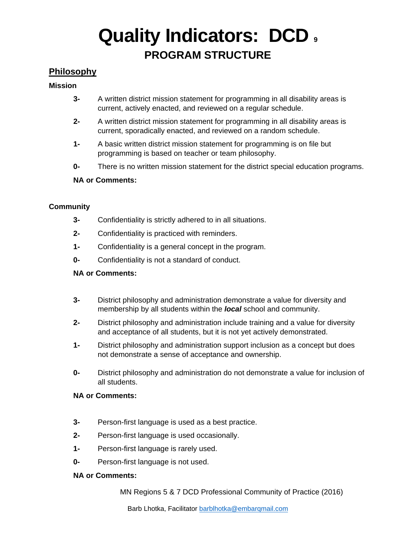## **Quality Indicators: DCD <sup>9</sup> PROGRAM STRUCTURE**

### <span id="page-9-1"></span><span id="page-9-0"></span>**Philosophy**

### <span id="page-9-2"></span>**Mission**

- **3-** A written district mission statement for programming in all disability areas is current, actively enacted, and reviewed on a regular schedule.
- **2-** A written district mission statement for programming in all disability areas is current, sporadically enacted, and reviewed on a random schedule.
- **1-** A basic written district mission statement for programming is on file but programming is based on teacher or team philosophy.
- **0-** There is no written mission statement for the district special education programs.

### **NA or Comments:**

### <span id="page-9-3"></span>**Community**

- **3-** Confidentiality is strictly adhered to in all situations.
- **2-** Confidentiality is practiced with reminders.
- **1-** Confidentiality is a general concept in the program.
- **0-** Confidentiality is not a standard of conduct.

#### **NA or Comments:**

- **3-** District philosophy and administration demonstrate a value for diversity and membership by all students within the *local* school and community.
- **2-** District philosophy and administration include training and a value for diversity and acceptance of all students, but it is not yet actively demonstrated.
- **1-** District philosophy and administration support inclusion as a concept but does not demonstrate a sense of acceptance and ownership.
- **0-** District philosophy and administration do not demonstrate a value for inclusion of all students.

#### **NA or Comments:**

- **3-** Person-first language is used as a best practice.
- **2-** Person-first language is used occasionally.
- **1-** Person-first language is rarely used.
- **0-** Person-first language is not used.

#### **NA or Comments:**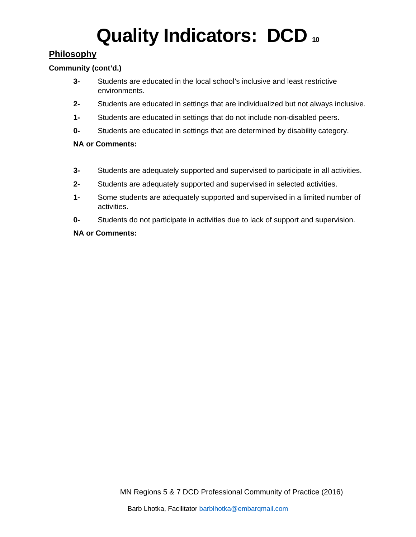### <span id="page-10-0"></span>**Philosophy**

### <span id="page-10-1"></span>**Community (cont'd.)**

- **3-** Students are educated in the local school's inclusive and least restrictive environments.
- **2-** Students are educated in settings that are individualized but not always inclusive.
- **1-** Students are educated in settings that do not include non-disabled peers.
- **0-** Students are educated in settings that are determined by disability category.

### **NA or Comments:**

- **3-** Students are adequately supported and supervised to participate in all activities.
- **2-** Students are adequately supported and supervised in selected activities.
- **1-** Some students are adequately supported and supervised in a limited number of activities.
- **0-** Students do not participate in activities due to lack of support and supervision.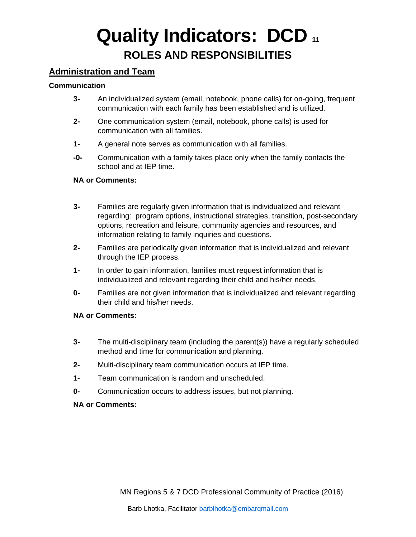### **Quality Indicators: DCD <sup>11</sup> ROLES AND RESPONSIBILITIES**

### <span id="page-11-1"></span><span id="page-11-0"></span>**Administration and Team**

### <span id="page-11-2"></span>**Communication**

- **3-** An individualized system (email, notebook, phone calls) for on-going, frequent communication with each family has been established and is utilized.
- **2-** One communication system (email, notebook, phone calls) is used for communication with all families.
- **1-** A general note serves as communication with all families.
- **-0-** Communication with a family takes place only when the family contacts the school and at IEP time.

#### **NA or Comments:**

- **3-** Families are regularly given information that is individualized and relevant regarding: program options, instructional strategies, transition, post-secondary options, recreation and leisure, community agencies and resources, and information relating to family inquiries and questions.
- **2-** Families are periodically given information that is individualized and relevant through the IEP process.
- **1-** In order to gain information, families must request information that is individualized and relevant regarding their child and his/her needs.
- **0-** Families are not given information that is individualized and relevant regarding their child and his/her needs.

### **NA or Comments:**

- **3-** The multi-disciplinary team (including the parent(s)) have a regularly scheduled method and time for communication and planning.
- **2-** Multi-disciplinary team communication occurs at IEP time.
- **1-** Team communication is random and unscheduled.
- **0-** Communication occurs to address issues, but not planning.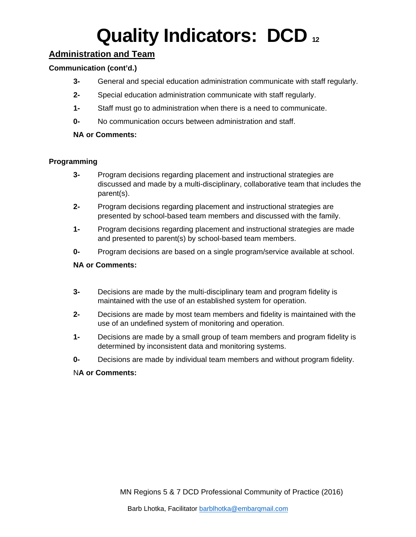### <span id="page-12-0"></span>**Administration and Team**

### <span id="page-12-1"></span>**Communication (cont'd.)**

- **3-** General and special education administration communicate with staff regularly.
- **2-** Special education administration communicate with staff regularly.
- **1-** Staff must go to administration when there is a need to communicate.
- **0-** No communication occurs between administration and staff.

### **NA or Comments:**

### <span id="page-12-2"></span>**Programming**

- **3-** Program decisions regarding placement and instructional strategies are discussed and made by a multi-disciplinary, collaborative team that includes the parent(s).
- **2-** Program decisions regarding placement and instructional strategies are presented by school-based team members and discussed with the family.
- **1-** Program decisions regarding placement and instructional strategies are made and presented to parent(s) by school-based team members.
- **0-** Program decisions are based on a single program/service available at school.

### **NA or Comments:**

- **3-** Decisions are made by the multi-disciplinary team and program fidelity is maintained with the use of an established system for operation.
- **2-** Decisions are made by most team members and fidelity is maintained with the use of an undefined system of monitoring and operation.
- **1-** Decisions are made by a small group of team members and program fidelity is determined by inconsistent data and monitoring systems.
- **0-** Decisions are made by individual team members and without program fidelity.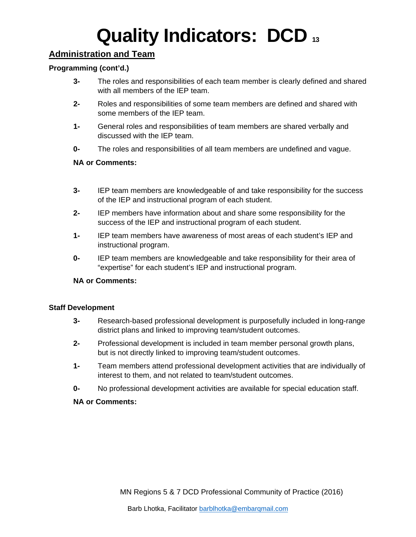### <span id="page-13-0"></span>**Administration and Team**

### <span id="page-13-1"></span>**Programming (cont'd.)**

- **3-** The roles and responsibilities of each team member is clearly defined and shared with all members of the IEP team.
- **2-** Roles and responsibilities of some team members are defined and shared with some members of the IEP team.
- **1-** General roles and responsibilities of team members are shared verbally and discussed with the IEP team.
- **0-** The roles and responsibilities of all team members are undefined and vague.

### **NA or Comments:**

- **3-** IEP team members are knowledgeable of and take responsibility for the success of the IEP and instructional program of each student.
- **2-** IEP members have information about and share some responsibility for the success of the IEP and instructional program of each student.
- **1-** IEP team members have awareness of most areas of each student's IEP and instructional program.
- **0-** IEP team members are knowledgeable and take responsibility for their area of "expertise" for each student's IEP and instructional program.

#### **NA or Comments:**

#### <span id="page-13-2"></span>**Staff Development**

- **3-** Research-based professional development is purposefully included in long-range district plans and linked to improving team/student outcomes.
- **2-** Professional development is included in team member personal growth plans, but is not directly linked to improving team/student outcomes.
- **1-** Team members attend professional development activities that are individually of interest to them, and not related to team/student outcomes.
- **0-** No professional development activities are available for special education staff.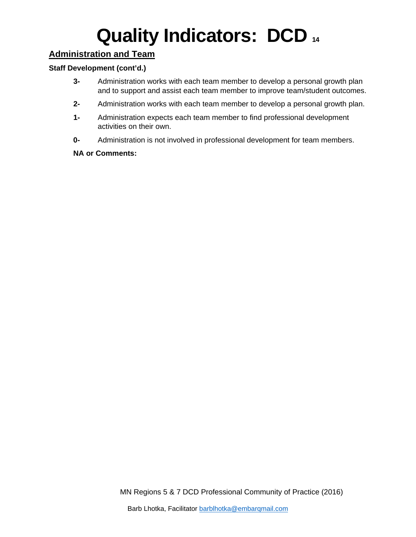### <span id="page-14-0"></span>**Administration and Team**

### <span id="page-14-1"></span>**Staff Development (cont'd.)**

- **3-** Administration works with each team member to develop a personal growth plan and to support and assist each team member to improve team/student outcomes.
- **2-** Administration works with each team member to develop a personal growth plan.
- **1-** Administration expects each team member to find professional development activities on their own.
- **0-** Administration is not involved in professional development for team members.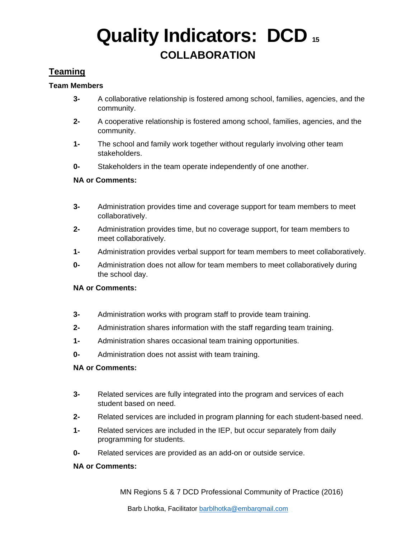## **Quality Indicators: DCD <sup>15</sup> COLLABORATION**

### <span id="page-15-1"></span><span id="page-15-0"></span>**Teaming**

### <span id="page-15-2"></span>**Team Members**

- **3-** A collaborative relationship is fostered among school, families, agencies, and the community.
- **2-** A cooperative relationship is fostered among school, families, agencies, and the community.
- **1-** The school and family work together without regularly involving other team stakeholders.
- **0-** Stakeholders in the team operate independently of one another.

### **NA or Comments:**

- **3-** Administration provides time and coverage support for team members to meet collaboratively.
- **2-** Administration provides time, but no coverage support, for team members to meet collaboratively.
- **1-** Administration provides verbal support for team members to meet collaboratively.
- **0-** Administration does not allow for team members to meet collaboratively during the school day.

#### **NA or Comments:**

- **3-** Administration works with program staff to provide team training.
- **2-** Administration shares information with the staff regarding team training.
- **1-** Administration shares occasional team training opportunities.
- **0-** Administration does not assist with team training.

#### **NA or Comments:**

- **3-** Related services are fully integrated into the program and services of each student based on need.
- **2-** Related services are included in program planning for each student-based need.
- **1-** Related services are included in the IEP, but occur separately from daily programming for students.
- **0-** Related services are provided as an add-on or outside service.

#### **NA or Comments:**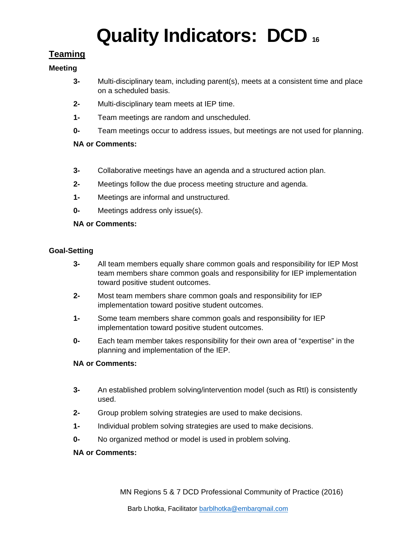### <span id="page-16-0"></span>**Teaming**

### <span id="page-16-1"></span>**Meeting**

- **3-** Multi-disciplinary team, including parent(s), meets at a consistent time and place on a scheduled basis.
- **2-** Multi-disciplinary team meets at IEP time.
- **1-** Team meetings are random and unscheduled.
- **0-** Team meetings occur to address issues, but meetings are not used for planning.

### **NA or Comments:**

- **3-** Collaborative meetings have an agenda and a structured action plan.
- **2-** Meetings follow the due process meeting structure and agenda.
- **1-** Meetings are informal and unstructured.
- **0-** Meetings address only issue(s).

### **NA or Comments:**

### <span id="page-16-2"></span>**Goal-Setting**

- **3-** All team members equally share common goals and responsibility for IEP Most team members share common goals and responsibility for IEP implementation toward positive student outcomes.
- **2-** Most team members share common goals and responsibility for IEP implementation toward positive student outcomes.
- **1-** Some team members share common goals and responsibility for IEP implementation toward positive student outcomes.
- **0-** Each team member takes responsibility for their own area of "expertise" in the planning and implementation of the IEP.

### **NA or Comments:**

- **3-** An established problem solving/intervention model (such as RtI) is consistently used.
- **2-** Group problem solving strategies are used to make decisions.
- **1-** Individual problem solving strategies are used to make decisions.
- **0-** No organized method or model is used in problem solving.

### **NA or Comments:**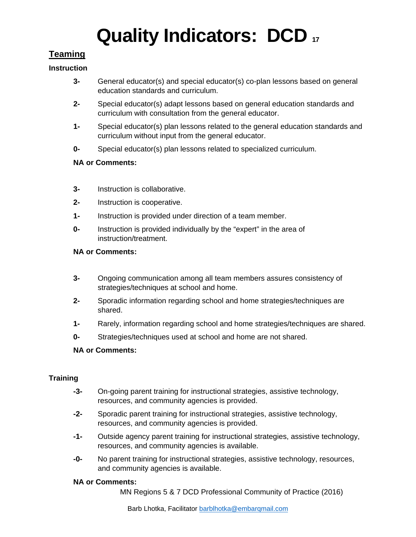### <span id="page-17-0"></span>**Teaming**

### <span id="page-17-1"></span>**Instruction**

- **3-** General educator(s) and special educator(s) co-plan lessons based on general education standards and curriculum.
- **2-** Special educator(s) adapt lessons based on general education standards and curriculum with consultation from the general educator.
- **1-** Special educator(s) plan lessons related to the general education standards and curriculum without input from the general educator.
- **0-** Special educator(s) plan lessons related to specialized curriculum.

### **NA or Comments:**

- **3-** Instruction is collaborative.
- **2-** Instruction is cooperative.
- **1-** Instruction is provided under direction of a team member.
- **0-** Instruction is provided individually by the "expert" in the area of instruction/treatment.

### **NA or Comments:**

- **3-** Ongoing communication among all team members assures consistency of strategies/techniques at school and home.
- **2-** Sporadic information regarding school and home strategies/techniques are shared.
- **1-** Rarely, information regarding school and home strategies/techniques are shared.
- **0-** Strategies/techniques used at school and home are not shared.

### **NA or Comments:**

### <span id="page-17-2"></span>**Training**

- **-3-** On-going parent training for instructional strategies, assistive technology, resources, and community agencies is provided.
- **-2-** Sporadic parent training for instructional strategies, assistive technology, resources, and community agencies is provided.
- **-1-** Outside agency parent training for instructional strategies, assistive technology, resources, and community agencies is available.
- **-0-** No parent training for instructional strategies, assistive technology, resources, and community agencies is available.

#### **NA or Comments:**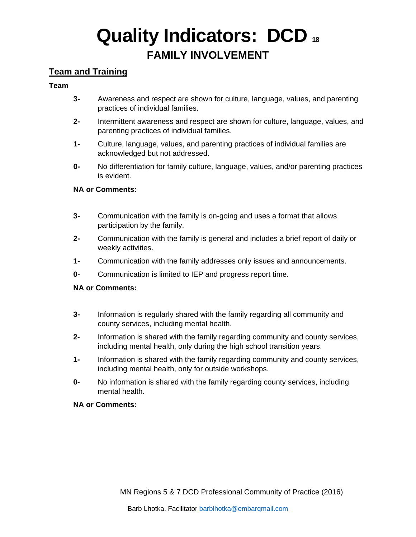## **Quality Indicators: DCD <sup>18</sup> FAMILY INVOLVEMENT**

### <span id="page-18-1"></span><span id="page-18-0"></span>**Team and Training**

### <span id="page-18-2"></span>**Team**

- **3-** Awareness and respect are shown for culture, language, values, and parenting practices of individual families.
- **2-** Intermittent awareness and respect are shown for culture, language, values, and parenting practices of individual families.
- **1-** Culture, language, values, and parenting practices of individual families are acknowledged but not addressed.
- **0-** No differentiation for family culture, language, values, and/or parenting practices is evident.

### **NA or Comments:**

- **3-** Communication with the family is on-going and uses a format that allows participation by the family.
- **2-** Communication with the family is general and includes a brief report of daily or weekly activities.
- **1-** Communication with the family addresses only issues and announcements.
- **0-** Communication is limited to IEP and progress report time.

#### **NA or Comments:**

- **3-** Information is regularly shared with the family regarding all community and county services, including mental health.
- **2-** Information is shared with the family regarding community and county services, including mental health, only during the high school transition years.
- **1-** Information is shared with the family regarding community and county services, including mental health, only for outside workshops.
- **0-** No information is shared with the family regarding county services, including mental health.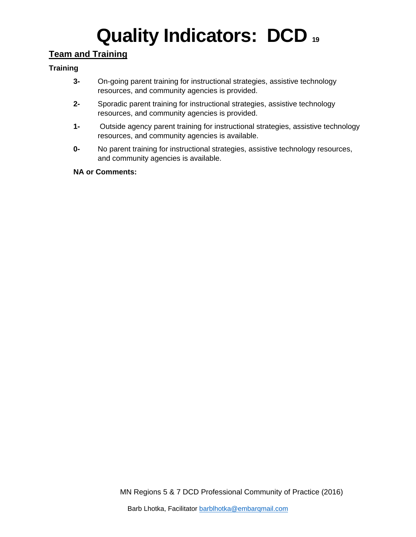### <span id="page-19-0"></span>**Team and Training**

### <span id="page-19-1"></span>**Training**

- **3-** On-going parent training for instructional strategies, assistive technology resources, and community agencies is provided.
- **2-** Sporadic parent training for instructional strategies, assistive technology resources, and community agencies is provided.
- **1-** Outside agency parent training for instructional strategies, assistive technology resources, and community agencies is available.
- **0-** No parent training for instructional strategies, assistive technology resources, and community agencies is available.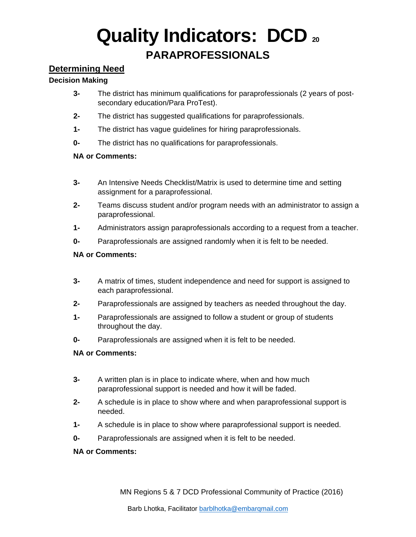## **Quality Indicators: DCD <sup>20</sup> PARAPROFESSIONALS**

### <span id="page-20-1"></span><span id="page-20-0"></span>**Determining Need**

### <span id="page-20-2"></span>**Decision Making**

- **3-** The district has minimum qualifications for paraprofessionals (2 years of postsecondary education/Para ProTest).
- **2-** The district has suggested qualifications for paraprofessionals.
- **1-** The district has vague guidelines for hiring paraprofessionals.
- **0-** The district has no qualifications for paraprofessionals.

### **NA or Comments:**

- **3-** An Intensive Needs Checklist/Matrix is used to determine time and setting assignment for a paraprofessional.
- **2-** Teams discuss student and/or program needs with an administrator to assign a paraprofessional.
- **1-** Administrators assign paraprofessionals according to a request from a teacher.
- **0-** Paraprofessionals are assigned randomly when it is felt to be needed.

### **NA or Comments:**

- **3-** A matrix of times, student independence and need for support is assigned to each paraprofessional.
- **2-** Paraprofessionals are assigned by teachers as needed throughout the day.
- **1-** Paraprofessionals are assigned to follow a student or group of students throughout the day.
- **0-** Paraprofessionals are assigned when it is felt to be needed.

### **NA or Comments:**

- **3-** A written plan is in place to indicate where, when and how much paraprofessional support is needed and how it will be faded.
- **2-** A schedule is in place to show where and when paraprofessional support is needed.
- **1-** A schedule is in place to show where paraprofessional support is needed.
- **0-** Paraprofessionals are assigned when it is felt to be needed.

### **NA or Comments:**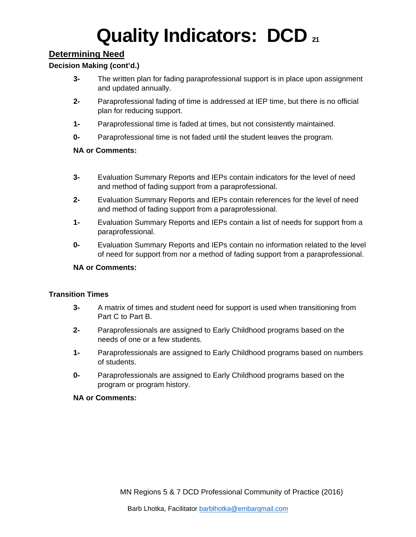### <span id="page-21-0"></span>**Determining Need**

### <span id="page-21-1"></span>**Decision Making (cont'd.)**

- **3-** The written plan for fading paraprofessional support is in place upon assignment and updated annually.
- **2-** Paraprofessional fading of time is addressed at IEP time, but there is no official plan for reducing support.
- **1-** Paraprofessional time is faded at times, but not consistently maintained.
- **0-** Paraprofessional time is not faded until the student leaves the program.

### **NA or Comments:**

- **3-** Evaluation Summary Reports and IEPs contain indicators for the level of need and method of fading support from a paraprofessional.
- **2-** Evaluation Summary Reports and IEPs contain references for the level of need and method of fading support from a paraprofessional.
- **1-** Evaluation Summary Reports and IEPs contain a list of needs for support from a paraprofessional.
- **0-** Evaluation Summary Reports and IEPs contain no information related to the level of need for support from nor a method of fading support from a paraprofessional.

#### **NA or Comments:**

#### <span id="page-21-2"></span>**Transition Times**

- **3-** A matrix of times and student need for support is used when transitioning from Part C to Part B.
- **2-** Paraprofessionals are assigned to Early Childhood programs based on the needs of one or a few students.
- **1-** Paraprofessionals are assigned to Early Childhood programs based on numbers of students.
- **0-** Paraprofessionals are assigned to Early Childhood programs based on the program or program history.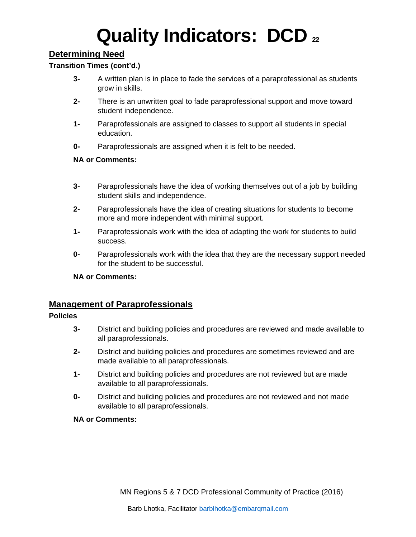## **Quality Indicators: DCD** <sub>22</sub>

### <span id="page-22-0"></span>**Determining Need**

### <span id="page-22-1"></span>**Transition Times (cont'd.)**

- **3-** A written plan is in place to fade the services of a paraprofessional as students grow in skills.
- **2-** There is an unwritten goal to fade paraprofessional support and move toward student independence.
- **1-** Paraprofessionals are assigned to classes to support all students in special education.
- **0-** Paraprofessionals are assigned when it is felt to be needed.

### **NA or Comments:**

- **3-** Paraprofessionals have the idea of working themselves out of a job by building student skills and independence.
- **2-** Paraprofessionals have the idea of creating situations for students to become more and more independent with minimal support.
- **1-** Paraprofessionals work with the idea of adapting the work for students to build success.
- **0-** Paraprofessionals work with the idea that they are the necessary support needed for the student to be successful.

#### **NA or Comments:**

### <span id="page-22-2"></span>**Management of Paraprofessionals**

#### <span id="page-22-3"></span>**Policies**

- **3-** District and building policies and procedures are reviewed and made available to all paraprofessionals.
- **2-** District and building policies and procedures are sometimes reviewed and are made available to all paraprofessionals.
- **1-** District and building policies and procedures are not reviewed but are made available to all paraprofessionals.
- **0-** District and building policies and procedures are not reviewed and not made available to all paraprofessionals.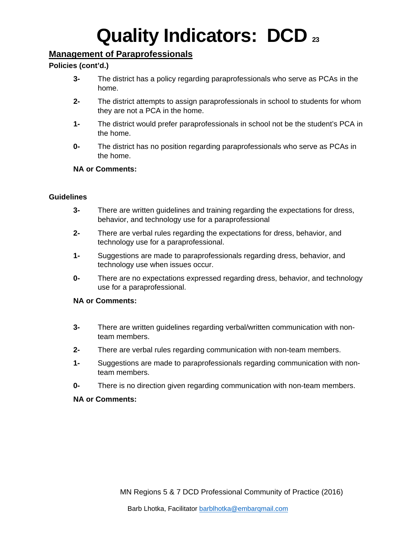### <span id="page-23-0"></span>**Management of Paraprofessionals**

### <span id="page-23-1"></span>**Policies (cont'd.)**

- **3-** The district has a policy regarding paraprofessionals who serve as PCAs in the home.
- **2-** The district attempts to assign paraprofessionals in school to students for whom they are not a PCA in the home.
- **1-** The district would prefer paraprofessionals in school not be the student's PCA in the home.
- **0-** The district has no position regarding paraprofessionals who serve as PCAs in the home.

### **NA or Comments:**

### <span id="page-23-2"></span>**Guidelines**

- **3-** There are written guidelines and training regarding the expectations for dress, behavior, and technology use for a paraprofessional
- **2-** There are verbal rules regarding the expectations for dress, behavior, and technology use for a paraprofessional.
- **1-** Suggestions are made to paraprofessionals regarding dress, behavior, and technology use when issues occur.
- **0-** There are no expectations expressed regarding dress, behavior, and technology use for a paraprofessional.

### **NA or Comments:**

- **3-** There are written guidelines regarding verbal/written communication with nonteam members.
- **2-** There are verbal rules regarding communication with non-team members.
- **1-** Suggestions are made to paraprofessionals regarding communication with nonteam members.
- **0-** There is no direction given regarding communication with non-team members.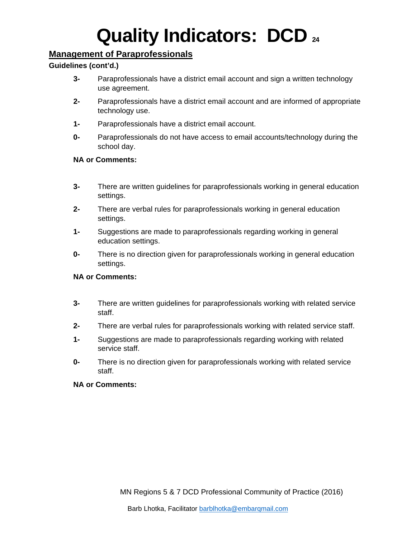### <span id="page-24-0"></span>**Management of Paraprofessionals**

### <span id="page-24-1"></span>**Guidelines (cont'd.)**

- **3-** Paraprofessionals have a district email account and sign a written technology use agreement.
- **2-** Paraprofessionals have a district email account and are informed of appropriate technology use.
- **1-** Paraprofessionals have a district email account.
- **0-** Paraprofessionals do not have access to email accounts/technology during the school day.

### **NA or Comments:**

- **3-** There are written guidelines for paraprofessionals working in general education settings.
- **2-** There are verbal rules for paraprofessionals working in general education settings.
- **1-** Suggestions are made to paraprofessionals regarding working in general education settings.
- **0-** There is no direction given for paraprofessionals working in general education settings.

### **NA or Comments:**

- **3-** There are written guidelines for paraprofessionals working with related service staff.
- **2-** There are verbal rules for paraprofessionals working with related service staff.
- **1-** Suggestions are made to paraprofessionals regarding working with related service staff.
- **0-** There is no direction given for paraprofessionals working with related service staff.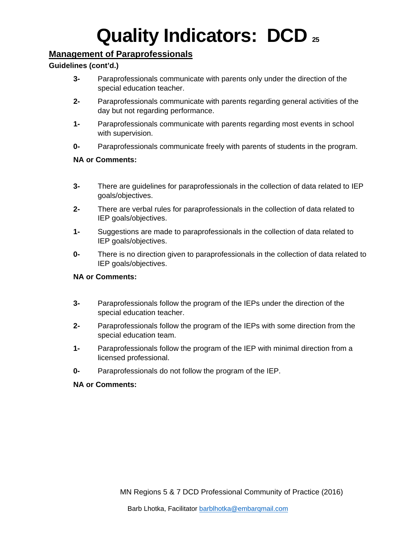### <span id="page-25-0"></span>**Management of Paraprofessionals**

### <span id="page-25-1"></span>**Guidelines (cont'd.)**

- **3-** Paraprofessionals communicate with parents only under the direction of the special education teacher.
- **2-** Paraprofessionals communicate with parents regarding general activities of the day but not regarding performance.
- **1-** Paraprofessionals communicate with parents regarding most events in school with supervision.
- **0-** Paraprofessionals communicate freely with parents of students in the program.

### **NA or Comments:**

- **3-** There are guidelines for paraprofessionals in the collection of data related to IEP goals/objectives.
- **2-** There are verbal rules for paraprofessionals in the collection of data related to IEP goals/objectives.
- **1-** Suggestions are made to paraprofessionals in the collection of data related to IEP goals/objectives.
- **0-** There is no direction given to paraprofessionals in the collection of data related to IEP goals/objectives.

### **NA or Comments:**

- **3-** Paraprofessionals follow the program of the IEPs under the direction of the special education teacher.
- **2-** Paraprofessionals follow the program of the IEPs with some direction from the special education team.
- **1-** Paraprofessionals follow the program of the IEP with minimal direction from a licensed professional.
- **0-** Paraprofessionals do not follow the program of the IEP.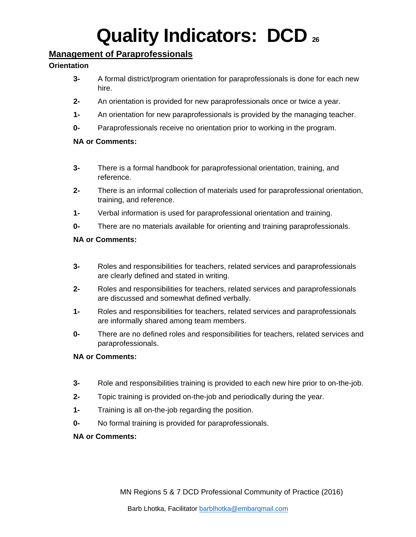### <span id="page-26-0"></span>**Management of Paraprofessionals**

### <span id="page-26-1"></span>**Orientation**

- **3-** A formal district/program orientation for paraprofessionals is done for each new hire.
- **2-** An orientation is provided for new paraprofessionals once or twice a year.
- **1-** An orientation for new paraprofessionals is provided by the managing teacher.
- **0-** Paraprofessionals receive no orientation prior to working in the program.

### **NA or Comments:**

- **3-** There is a formal handbook for paraprofessional orientation, training, and reference.
- **2-** There is an informal collection of materials used for paraprofessional orientation, training, and reference.
- **1-** Verbal information is used for paraprofessional orientation and training.
- **0-** There are no materials available for orienting and training paraprofessionals.

### **NA or Comments:**

- **3-** Roles and responsibilities for teachers, related services and paraprofessionals are clearly defined and stated in writing.
- **2-** Roles and responsibilities for teachers, related services and paraprofessionals are discussed and somewhat defined verbally.
- **1-** Roles and responsibilities for teachers, related services and paraprofessionals are informally shared among team members.
- **0-** There are no defined roles and responsibilities for teachers, related services and paraprofessionals.

### **NA or Comments:**

- **3-** Role and responsibilities training is provided to each new hire prior to on-the-job.
- **2-** Topic training is provided on-the-job and periodically during the year.
- **1-** Training is all on-the-job regarding the position.
- **0-** No formal training is provided for paraprofessionals.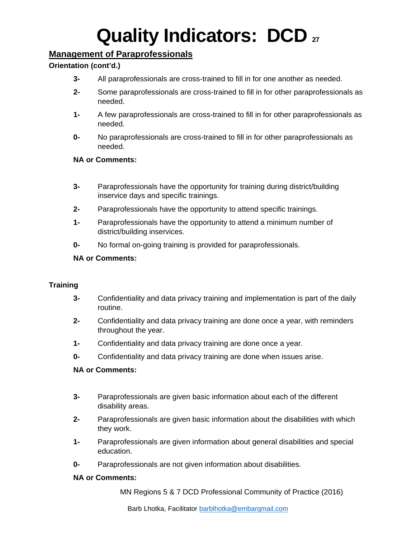### <span id="page-27-0"></span>**Management of Paraprofessionals**

### <span id="page-27-1"></span>**Orientation (cont'd.)**

- **3-** All paraprofessionals are cross-trained to fill in for one another as needed.
- **2-** Some paraprofessionals are cross-trained to fill in for other paraprofessionals as needed.
- **1-** A few paraprofessionals are cross-trained to fill in for other paraprofessionals as needed.
- **0-** No paraprofessionals are cross-trained to fill in for other paraprofessionals as needed.

### **NA or Comments:**

- **3-** Paraprofessionals have the opportunity for training during district/building inservice days and specific trainings.
- **2-** Paraprofessionals have the opportunity to attend specific trainings.
- **1-** Paraprofessionals have the opportunity to attend a minimum number of district/building inservices.
- **0-** No formal on-going training is provided for paraprofessionals.

### **NA or Comments:**

#### <span id="page-27-2"></span>**Training**

- **3-** Confidentiality and data privacy training and implementation is part of the daily routine.
- **2-** Confidentiality and data privacy training are done once a year, with reminders throughout the year.
- **1-** Confidentiality and data privacy training are done once a year.
- **0-** Confidentiality and data privacy training are done when issues arise.

#### **NA or Comments:**

- **3-** Paraprofessionals are given basic information about each of the different disability areas.
- **2-** Paraprofessionals are given basic information about the disabilities with which they work.
- **1-** Paraprofessionals are given information about general disabilities and special education.
- **0-** Paraprofessionals are not given information about disabilities.

#### **NA or Comments:**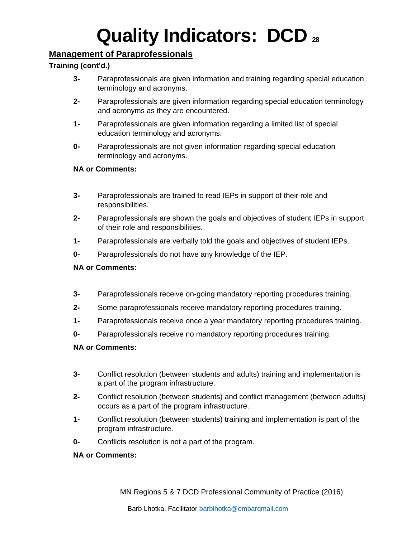### <span id="page-28-0"></span>**Management of Paraprofessionals**

### <span id="page-28-1"></span>**Training (cont'd.)**

- **3-** Paraprofessionals are given information and training regarding special education terminology and acronyms.
- **2-** Paraprofessionals are given information regarding special education terminology and acronyms as they are encountered.
- **1-** Paraprofessionals are given information regarding a limited list of special education terminology and acronyms.
- **0-** Paraprofessionals are not given information regarding special education terminology and acronyms.

### **NA or Comments:**

- **3-** Paraprofessionals are trained to read IEPs in support of their role and responsibilities.
- **2-** Paraprofessionals are shown the goals and objectives of student IEPs in support of their role and responsibilities.
- **1-** Paraprofessionals are verbally told the goals and objectives of student IEPs.
- **0-** Paraprofessionals do not have any knowledge of the IEP.

### **NA or Comments:**

- **3-** Paraprofessionals receive on-going mandatory reporting procedures training.
- **2-** Some paraprofessionals receive mandatory reporting procedures training.
- **1-** Paraprofessionals receive once a year mandatory reporting procedures training.
- **0-** Paraprofessionals receive no mandatory reporting procedures training.

### **NA or Comments:**

- **3-** Conflict resolution (between students and adults) training and implementation is a part of the program infrastructure.
- **2-** Conflict resolution (between students) and conflict management (between adults) occurs as a part of the program infrastructure.
- **1-** Conflict resolution (between students) training and implementation is part of the program infrastructure.
- **0-** Conflicts resolution is not a part of the program.

### **NA or Comments:**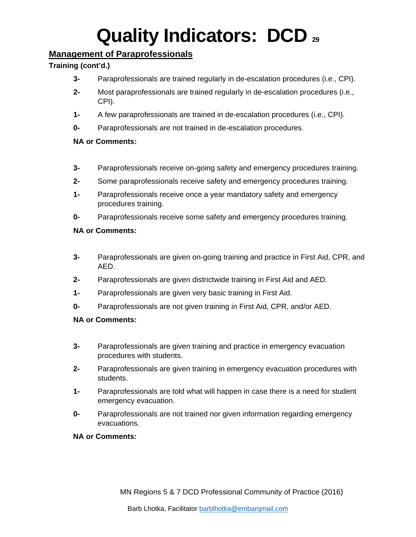### <span id="page-29-0"></span>**Management of Paraprofessionals**

### <span id="page-29-1"></span>**Training (cont'd.)**

- **3-** Paraprofessionals are trained regularly in de-escalation procedures (i.e., CPI).
- **2-** Most paraprofessionals are trained regularly in de-escalation procedures (i.e., CPI).
- **1-** A few paraprofessionals are trained in de-escalation procedures (i.e., CPI).
- **0-** Paraprofessionals are not trained in de-escalation procedures.

### **NA or Comments:**

- **3-** Paraprofessionals receive on-going safety and emergency procedures training.
- **2-** Some paraprofessionals receive safety and emergency procedures training.
- **1-** Paraprofessionals receive once a year mandatory safety and emergency procedures training.
- **0-** Paraprofessionals receive some safety and emergency procedures training.

### **NA or Comments:**

- **3-** Paraprofessionals are given on-going training and practice in First Aid, CPR, and AED.
- **2-** Paraprofessionals are given districtwide training in First Aid and AED.
- **1-** Paraprofessionals are given very basic training in First Aid.
- **0-** Paraprofessionals are not given training in First Aid, CPR, and/or AED.

- **3-** Paraprofessionals are given training and practice in emergency evacuation procedures with students.
- **2-** Paraprofessionals are given training in emergency evacuation procedures with students.
- **1-** Paraprofessionals are told what will happen in case there is a need for student emergency evacuation.
- **0-** Paraprofessionals are not trained nor given information regarding emergency evacuations.
- **NA or Comments:**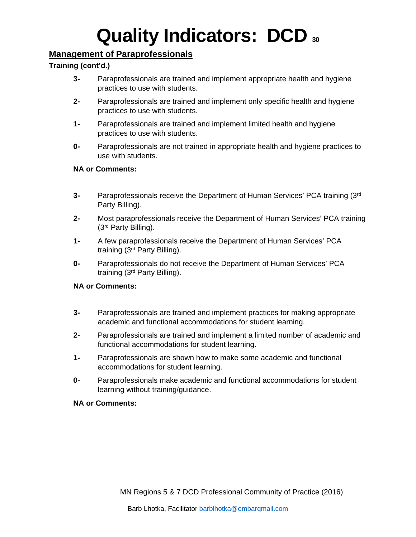### <span id="page-30-0"></span>**Management of Paraprofessionals**

### <span id="page-30-1"></span>**Training (cont'd.)**

- **3-** Paraprofessionals are trained and implement appropriate health and hygiene practices to use with students.
- **2-** Paraprofessionals are trained and implement only specific health and hygiene practices to use with students.
- **1-** Paraprofessionals are trained and implement limited health and hygiene practices to use with students.
- **0-** Paraprofessionals are not trained in appropriate health and hygiene practices to use with students.

### **NA or Comments:**

- **3-** Paraprofessionals receive the Department of Human Services' PCA training (3rd Party Billing).
- **2-** Most paraprofessionals receive the Department of Human Services' PCA training (3rd Party Billing).
- **1-** A few paraprofessionals receive the Department of Human Services' PCA training (3rd Party Billing).
- **0-** Paraprofessionals do not receive the Department of Human Services' PCA training (3rd Party Billing).

### **NA or Comments:**

- **3-** Paraprofessionals are trained and implement practices for making appropriate academic and functional accommodations for student learning.
- **2-** Paraprofessionals are trained and implement a limited number of academic and functional accommodations for student learning.
- **1-** Paraprofessionals are shown how to make some academic and functional accommodations for student learning.
- **0-** Paraprofessionals make academic and functional accommodations for student learning without training/guidance.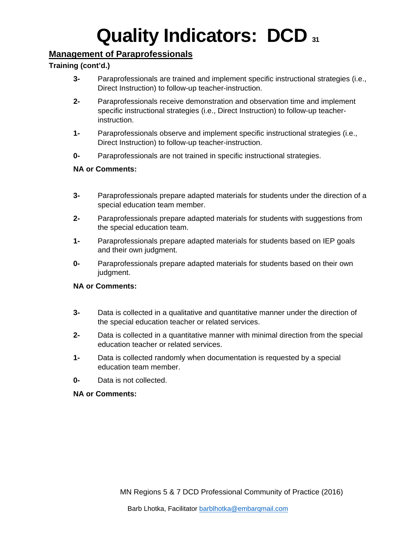### <span id="page-31-0"></span>**Management of Paraprofessionals**

### <span id="page-31-1"></span>**Training (cont'd.)**

- **3-** Paraprofessionals are trained and implement specific instructional strategies (i.e., Direct Instruction) to follow-up teacher-instruction.
- **2-** Paraprofessionals receive demonstration and observation time and implement specific instructional strategies (i.e., Direct Instruction) to follow-up teacherinstruction.
- **1-** Paraprofessionals observe and implement specific instructional strategies (i.e., Direct Instruction) to follow-up teacher-instruction.
- **0-** Paraprofessionals are not trained in specific instructional strategies.

### **NA or Comments:**

- **3-** Paraprofessionals prepare adapted materials for students under the direction of a special education team member.
- **2-** Paraprofessionals prepare adapted materials for students with suggestions from the special education team.
- **1-** Paraprofessionals prepare adapted materials for students based on IEP goals and their own judgment.
- **0-** Paraprofessionals prepare adapted materials for students based on their own judgment.

### **NA or Comments:**

- **3-** Data is collected in a qualitative and quantitative manner under the direction of the special education teacher or related services.
- **2-** Data is collected in a quantitative manner with minimal direction from the special education teacher or related services.
- **1-** Data is collected randomly when documentation is requested by a special education team member.
- **0-** Data is not collected.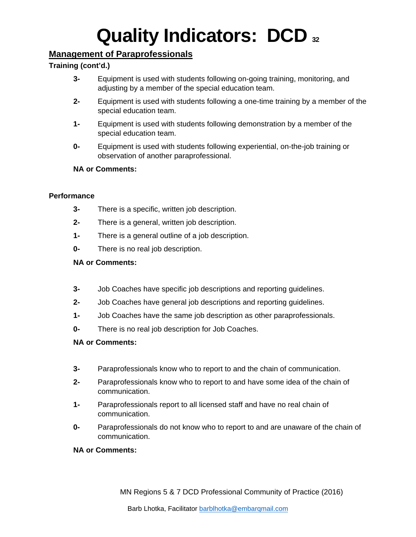### <span id="page-32-0"></span>**Management of Paraprofessionals**

### <span id="page-32-1"></span>**Training (cont'd.)**

- **3-** Equipment is used with students following on-going training, monitoring, and adjusting by a member of the special education team.
- **2-** Equipment is used with students following a one-time training by a member of the special education team.
- **1-** Equipment is used with students following demonstration by a member of the special education team.
- **0-** Equipment is used with students following experiential, on-the-job training or observation of another paraprofessional.

### **NA or Comments:**

### <span id="page-32-2"></span>**Performance**

- **3-** There is a specific, written job description.
- **2-** There is a general, written job description.
- **1-** There is a general outline of a job description.
- **0-** There is no real job description.

### **NA or Comments:**

- **3-** Job Coaches have specific job descriptions and reporting guidelines.
- **2-** Job Coaches have general job descriptions and reporting guidelines.
- **1-** Job Coaches have the same job description as other paraprofessionals.
- **0-** There is no real job description for Job Coaches.

#### **NA or Comments:**

- **3-** Paraprofessionals know who to report to and the chain of communication.
- **2-** Paraprofessionals know who to report to and have some idea of the chain of communication.
- **1-** Paraprofessionals report to all licensed staff and have no real chain of communication.
- **0-** Paraprofessionals do not know who to report to and are unaware of the chain of communication.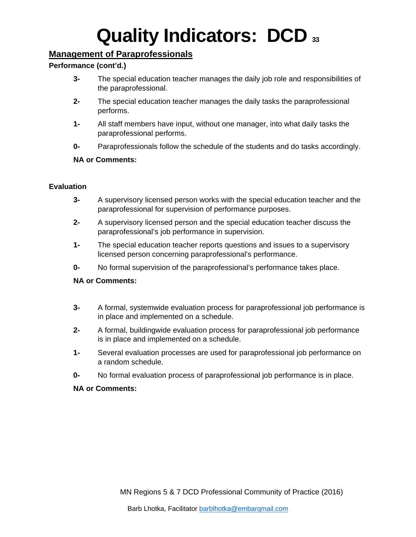### <span id="page-33-0"></span>**Management of Paraprofessionals**

### <span id="page-33-1"></span>**Performance (cont'd.)**

- **3-** The special education teacher manages the daily job role and responsibilities of the paraprofessional.
- **2-** The special education teacher manages the daily tasks the paraprofessional performs.
- **1-** All staff members have input, without one manager, into what daily tasks the paraprofessional performs.
- **0-** Paraprofessionals follow the schedule of the students and do tasks accordingly.

### **NA or Comments:**

### <span id="page-33-2"></span>**Evaluation**

- **3-** A supervisory licensed person works with the special education teacher and the paraprofessional for supervision of performance purposes.
- **2-** A supervisory licensed person and the special education teacher discuss the paraprofessional's job performance in supervision.
- **1-** The special education teacher reports questions and issues to a supervisory licensed person concerning paraprofessional's performance.
- **0-** No formal supervision of the paraprofessional's performance takes place.

#### **NA or Comments:**

- **3-** A formal, systemwide evaluation process for paraprofessional job performance is in place and implemented on a schedule.
- **2-** A formal, buildingwide evaluation process for paraprofessional job performance is in place and implemented on a schedule.
- **1-** Several evaluation processes are used for paraprofessional job performance on a random schedule.
- **0-** No formal evaluation process of paraprofessional job performance is in place.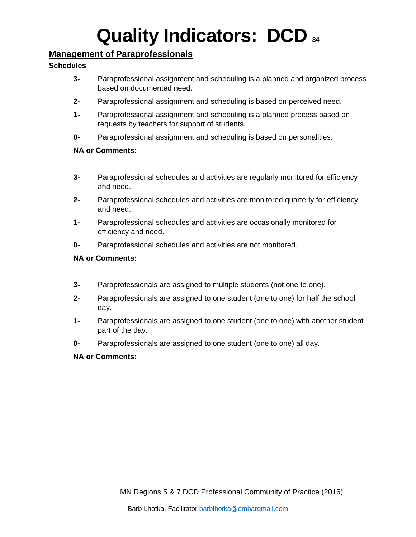### <span id="page-34-0"></span>**Management of Paraprofessionals**

### <span id="page-34-1"></span>**Schedules**

- **3-** Paraprofessional assignment and scheduling is a planned and organized process based on documented need.
- **2-** Paraprofessional assignment and scheduling is based on perceived need.
- **1-** Paraprofessional assignment and scheduling is a planned process based on requests by teachers for support of students.
- **0-** Paraprofessional assignment and scheduling is based on personalities.

### **NA or Comments:**

- **3-** Paraprofessional schedules and activities are regularly monitored for efficiency and need.
- **2-** Paraprofessional schedules and activities are monitored quarterly for efficiency and need.
- **1-** Paraprofessional schedules and activities are occasionally monitored for efficiency and need.
- **0-** Paraprofessional schedules and activities are not monitored.

### **NA or Comments:**

- **3-** Paraprofessionals are assigned to multiple students (not one to one).
- **2-** Paraprofessionals are assigned to one student (one to one) for half the school day.
- **1-** Paraprofessionals are assigned to one student (one to one) with another student part of the day.
- **0-** Paraprofessionals are assigned to one student (one to one) all day.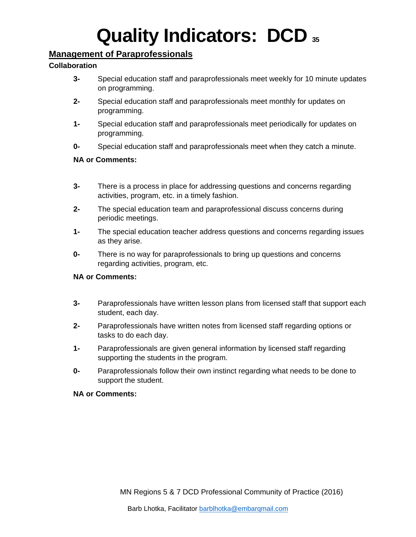### <span id="page-35-0"></span>**Management of Paraprofessionals**

### <span id="page-35-1"></span>**Collaboration**

- **3-** Special education staff and paraprofessionals meet weekly for 10 minute updates on programming.
- **2-** Special education staff and paraprofessionals meet monthly for updates on programming.
- **1-** Special education staff and paraprofessionals meet periodically for updates on programming.
- **0-** Special education staff and paraprofessionals meet when they catch a minute.

### **NA or Comments:**

- **3-** There is a process in place for addressing questions and concerns regarding activities, program, etc. in a timely fashion.
- **2-** The special education team and paraprofessional discuss concerns during periodic meetings.
- **1-** The special education teacher address questions and concerns regarding issues as they arise.
- **0-** There is no way for paraprofessionals to bring up questions and concerns regarding activities, program, etc.

### **NA or Comments:**

- **3-** Paraprofessionals have written lesson plans from licensed staff that support each student, each day.
- **2-** Paraprofessionals have written notes from licensed staff regarding options or tasks to do each day.
- **1-** Paraprofessionals are given general information by licensed staff regarding supporting the students in the program.
- **0-** Paraprofessionals follow their own instinct regarding what needs to be done to support the student.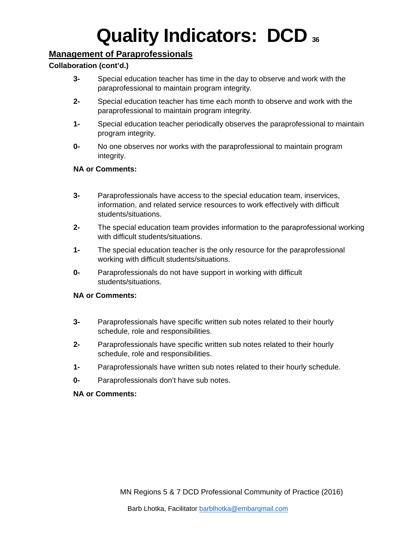# **Management of Paraprofessionals**

## **Collaboration (cont'd.)**

- **3-** Special education teacher has time in the day to observe and work with the paraprofessional to maintain program integrity.
- **2-** Special education teacher has time each month to observe and work with the paraprofessional to maintain program integrity.
- **1-** Special education teacher periodically observes the paraprofessional to maintain program integrity.
- **0-** No one observes nor works with the paraprofessional to maintain program integrity.

#### **NA or Comments:**

- **3-** Paraprofessionals have access to the special education team, inservices, information, and related service resources to work effectively with difficult students/situations.
- **2-** The special education team provides information to the paraprofessional working with difficult students/situations.
- **1-** The special education teacher is the only resource for the paraprofessional working with difficult students/situations.
- **0-** Paraprofessionals do not have support in working with difficult students/situations.

#### **NA or Comments:**

- **3-** Paraprofessionals have specific written sub notes related to their hourly schedule, role and responsibilities.
- **2-** Paraprofessionals have specific written sub notes related to their hourly schedule, role and responsibilities.
- **1-** Paraprofessionals have written sub notes related to their hourly schedule.
- **0-** Paraprofessionals don't have sub notes.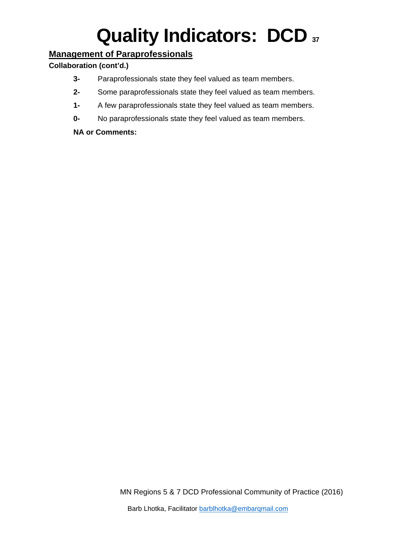# **Management of Paraprofessionals**

## **Collaboration (cont'd.)**

- **3-** Paraprofessionals state they feel valued as team members.
- **2-** Some paraprofessionals state they feel valued as team members.
- **1-** A few paraprofessionals state they feel valued as team members.
- **0-** No paraprofessionals state they feel valued as team members.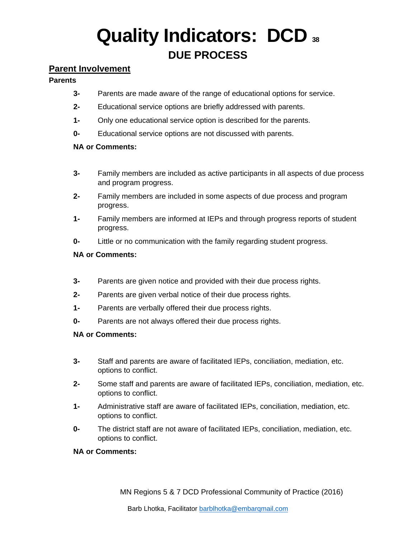# **Quality Indicators: DCD <sup>38</sup> DUE PROCESS**

## **Parent Involvement**

### **Parents**

- **3-** Parents are made aware of the range of educational options for service.
- **2-** Educational service options are briefly addressed with parents.
- **1-** Only one educational service option is described for the parents.
- **0-** Educational service options are not discussed with parents.

## **NA or Comments:**

- **3-** Family members are included as active participants in all aspects of due process and program progress.
- **2-** Family members are included in some aspects of due process and program progress.
- **1-** Family members are informed at IEPs and through progress reports of student progress.
- **0-** Little or no communication with the family regarding student progress.

## **NA or Comments:**

- **3-** Parents are given notice and provided with their due process rights.
- **2-** Parents are given verbal notice of their due process rights.
- **1-** Parents are verbally offered their due process rights.
- **0-** Parents are not always offered their due process rights.

### **NA or Comments:**

- **3-** Staff and parents are aware of facilitated IEPs, conciliation, mediation, etc. options to conflict.
- **2-** Some staff and parents are aware of facilitated IEPs, conciliation, mediation, etc. options to conflict.
- **1-** Administrative staff are aware of facilitated IEPs, conciliation, mediation, etc. options to conflict.
- **0-** The district staff are not aware of facilitated IEPs, conciliation, mediation, etc. options to conflict.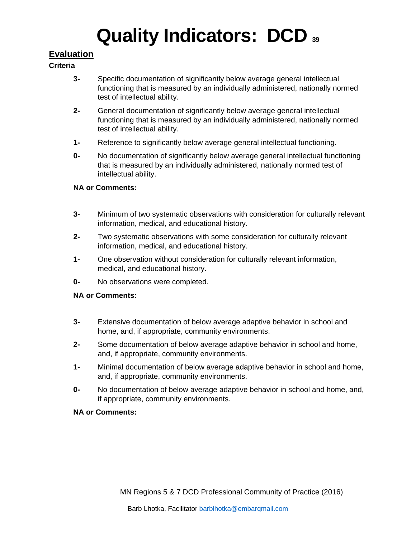# **Evaluation**

### **Criteria**

- **3-** Specific documentation of significantly below average general intellectual functioning that is measured by an individually administered, nationally normed test of intellectual ability.
- **2-** General documentation of significantly below average general intellectual functioning that is measured by an individually administered, nationally normed test of intellectual ability.
- **1-** Reference to significantly below average general intellectual functioning.
- **0-** No documentation of significantly below average general intellectual functioning that is measured by an individually administered, nationally normed test of intellectual ability.

## **NA or Comments:**

- **3-** Minimum of two systematic observations with consideration for culturally relevant information, medical, and educational history.
- **2-** Two systematic observations with some consideration for culturally relevant information, medical, and educational history.
- **1-** One observation without consideration for culturally relevant information, medical, and educational history.
- **0-** No observations were completed.

## **NA or Comments:**

- **3-** Extensive documentation of below average adaptive behavior in school and home, and, if appropriate, community environments.
- **2-** Some documentation of below average adaptive behavior in school and home, and, if appropriate, community environments.
- **1-** Minimal documentation of below average adaptive behavior in school and home, and, if appropriate, community environments.
- **0-** No documentation of below average adaptive behavior in school and home, and, if appropriate, community environments.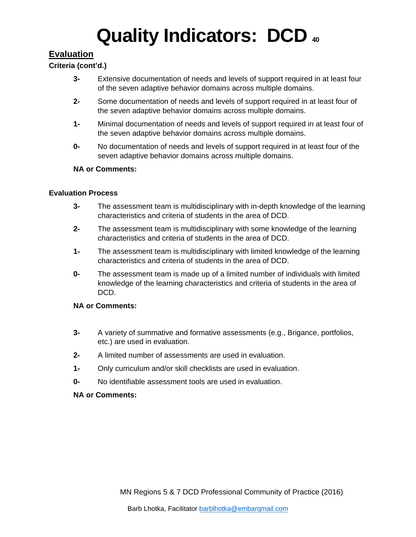# **Evaluation**

## **Criteria (cont'd.)**

- **3-** Extensive documentation of needs and levels of support required in at least four of the seven adaptive behavior domains across multiple domains.
- **2-** Some documentation of needs and levels of support required in at least four of the seven adaptive behavior domains across multiple domains.
- **1-** Minimal documentation of needs and levels of support required in at least four of the seven adaptive behavior domains across multiple domains.
- **0-** No documentation of needs and levels of support required in at least four of the seven adaptive behavior domains across multiple domains.

#### **NA or Comments:**

#### **Evaluation Process**

- **3-** The assessment team is multidisciplinary with in-depth knowledge of the learning characteristics and criteria of students in the area of DCD.
- **2-** The assessment team is multidisciplinary with some knowledge of the learning characteristics and criteria of students in the area of DCD.
- **1-** The assessment team is multidisciplinary with limited knowledge of the learning characteristics and criteria of students in the area of DCD.
- **0-** The assessment team is made up of a limited number of individuals with limited knowledge of the learning characteristics and criteria of students in the area of DCD.

### **NA or Comments:**

- **3-** A variety of summative and formative assessments (e.g., Brigance, portfolios, etc.) are used in evaluation.
- **2-** A limited number of assessments are used in evaluation.
- **1-** Only curriculum and/or skill checklists are used in evaluation.
- **0-** No identifiable assessment tools are used in evaluation.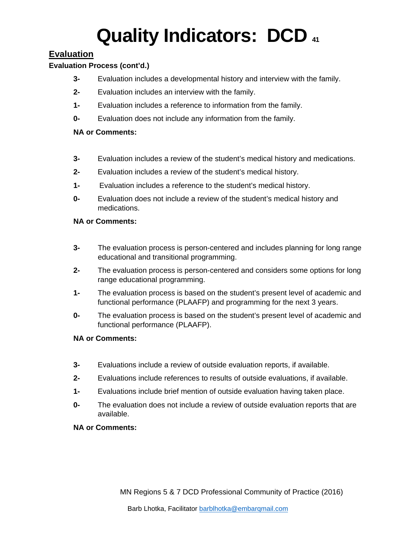# **Evaluation**

## **Evaluation Process (cont'd.)**

- **3-** Evaluation includes a developmental history and interview with the family.
- **2-** Evaluation includes an interview with the family.
- **1-** Evaluation includes a reference to information from the family.
- **0-** Evaluation does not include any information from the family.

### **NA or Comments:**

- **3-** Evaluation includes a review of the student's medical history and medications.
- **2-** Evaluation includes a review of the student's medical history.
- **1-** Evaluation includes a reference to the student's medical history.
- **0-** Evaluation does not include a review of the student's medical history and medications.

## **NA or Comments:**

- **3-** The evaluation process is person-centered and includes planning for long range educational and transitional programming.
- **2-** The evaluation process is person-centered and considers some options for long range educational programming.
- **1-** The evaluation process is based on the student's present level of academic and functional performance (PLAAFP) and programming for the next 3 years.
- **0-** The evaluation process is based on the student's present level of academic and functional performance (PLAAFP).

### **NA or Comments:**

- **3-** Evaluations include a review of outside evaluation reports, if available.
- **2-** Evaluations include references to results of outside evaluations, if available.
- **1-** Evaluations include brief mention of outside evaluation having taken place.
- **0-** The evaluation does not include a review of outside evaluation reports that are available.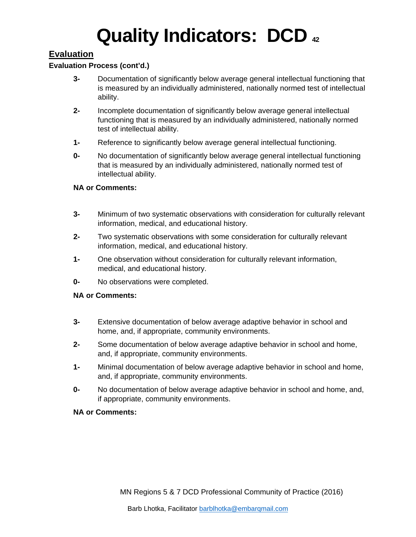# **Evaluation**

### **Evaluation Process (cont'd.)**

- **3-** Documentation of significantly below average general intellectual functioning that is measured by an individually administered, nationally normed test of intellectual ability.
- **2-** Incomplete documentation of significantly below average general intellectual functioning that is measured by an individually administered, nationally normed test of intellectual ability.
- **1-** Reference to significantly below average general intellectual functioning.
- **0-** No documentation of significantly below average general intellectual functioning that is measured by an individually administered, nationally normed test of intellectual ability.

#### **NA or Comments:**

- **3-** Minimum of two systematic observations with consideration for culturally relevant information, medical, and educational history.
- **2-** Two systematic observations with some consideration for culturally relevant information, medical, and educational history.
- **1-** One observation without consideration for culturally relevant information, medical, and educational history.
- **0-** No observations were completed.

#### **NA or Comments:**

- **3-** Extensive documentation of below average adaptive behavior in school and home, and, if appropriate, community environments.
- **2-** Some documentation of below average adaptive behavior in school and home, and, if appropriate, community environments.
- **1-** Minimal documentation of below average adaptive behavior in school and home, and, if appropriate, community environments.
- **0-** No documentation of below average adaptive behavior in school and home, and, if appropriate, community environments.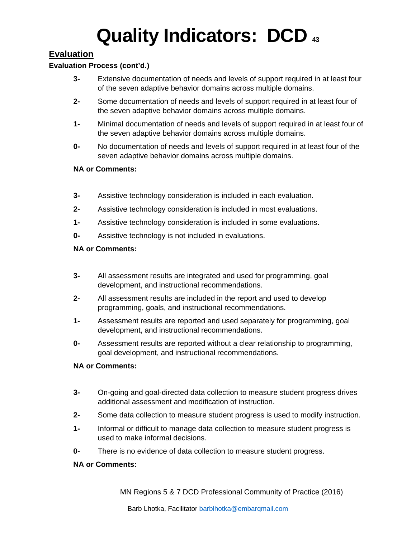# **Evaluation**

### **Evaluation Process (cont'd.)**

- **3-** Extensive documentation of needs and levels of support required in at least four of the seven adaptive behavior domains across multiple domains.
- **2-** Some documentation of needs and levels of support required in at least four of the seven adaptive behavior domains across multiple domains.
- **1-** Minimal documentation of needs and levels of support required in at least four of the seven adaptive behavior domains across multiple domains.
- **0-** No documentation of needs and levels of support required in at least four of the seven adaptive behavior domains across multiple domains.

#### **NA or Comments:**

- **3-** Assistive technology consideration is included in each evaluation.
- **2-** Assistive technology consideration is included in most evaluations.
- **1-** Assistive technology consideration is included in some evaluations.
- **0-** Assistive technology is not included in evaluations.

#### **NA or Comments:**

- **3-** All assessment results are integrated and used for programming, goal development, and instructional recommendations.
- **2-** All assessment results are included in the report and used to develop programming, goals, and instructional recommendations.
- **1-** Assessment results are reported and used separately for programming, goal development, and instructional recommendations.
- **0-** Assessment results are reported without a clear relationship to programming, goal development, and instructional recommendations.

#### **NA or Comments:**

- **3-** On-going and goal-directed data collection to measure student progress drives additional assessment and modification of instruction.
- **2-** Some data collection to measure student progress is used to modify instruction.
- **1-** Informal or difficult to manage data collection to measure student progress is used to make informal decisions.
- **0-** There is no evidence of data collection to measure student progress.

#### **NA or Comments:**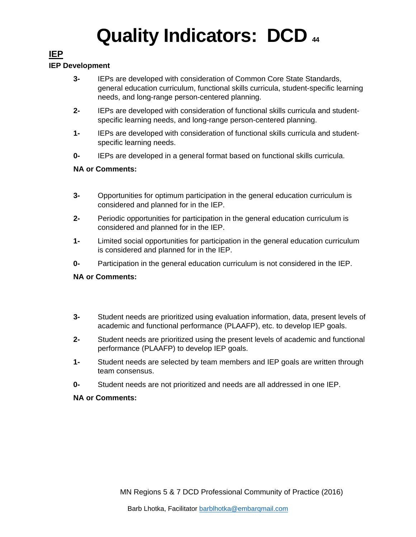# **IEP**

## **IEP Development**

- **3-** IEPs are developed with consideration of Common Core State Standards, general education curriculum, functional skills curricula, student-specific learning needs, and long-range person-centered planning.
- **2-** IEPs are developed with consideration of functional skills curricula and studentspecific learning needs, and long-range person-centered planning.
- **1-** IEPs are developed with consideration of functional skills curricula and studentspecific learning needs.
- **0-** IEPs are developed in a general format based on functional skills curricula.

## **NA or Comments:**

- **3-** Opportunities for optimum participation in the general education curriculum is considered and planned for in the IEP.
- **2-** Periodic opportunities for participation in the general education curriculum is considered and planned for in the IEP.
- **1-** Limited social opportunities for participation in the general education curriculum is considered and planned for in the IEP.
- **0-** Participation in the general education curriculum is not considered in the IEP.

## **NA or Comments:**

- **3-** Student needs are prioritized using evaluation information, data, present levels of academic and functional performance (PLAAFP), etc. to develop IEP goals.
- **2-** Student needs are prioritized using the present levels of academic and functional performance (PLAAFP) to develop IEP goals.
- **1-** Student needs are selected by team members and IEP goals are written through team consensus.
- **0-** Student needs are not prioritized and needs are all addressed in one IEP.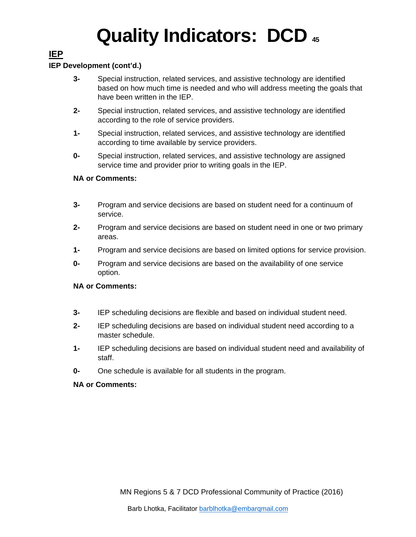# **IEP**

### **IEP Development (cont'd.)**

- **3-** Special instruction, related services, and assistive technology are identified based on how much time is needed and who will address meeting the goals that have been written in the IEP.
- **2-** Special instruction, related services, and assistive technology are identified according to the role of service providers.
- **1-** Special instruction, related services, and assistive technology are identified according to time available by service providers.
- **0-** Special instruction, related services, and assistive technology are assigned service time and provider prior to writing goals in the IEP.

#### **NA or Comments:**

- **3-** Program and service decisions are based on student need for a continuum of service.
- **2-** Program and service decisions are based on student need in one or two primary areas.
- **1-** Program and service decisions are based on limited options for service provision.
- **0-** Program and service decisions are based on the availability of one service option.

#### **NA or Comments:**

- **3-** IEP scheduling decisions are flexible and based on individual student need.
- **2-** IEP scheduling decisions are based on individual student need according to a master schedule.
- **1-** IEP scheduling decisions are based on individual student need and availability of staff.
- **0-** One schedule is available for all students in the program.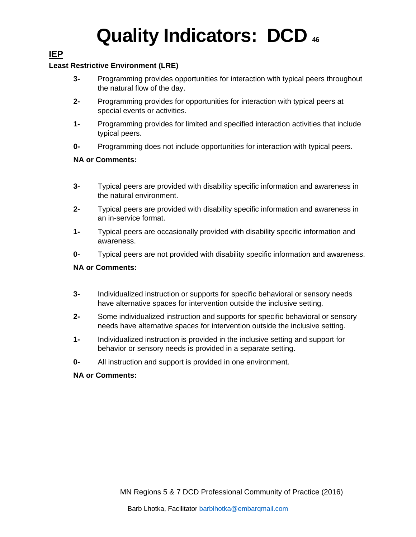# **IEP**

### **Least Restrictive Environment (LRE)**

- **3-** Programming provides opportunities for interaction with typical peers throughout the natural flow of the day.
- **2-** Programming provides for opportunities for interaction with typical peers at special events or activities.
- **1-** Programming provides for limited and specified interaction activities that include typical peers.
- **0-** Programming does not include opportunities for interaction with typical peers.

## **NA or Comments:**

- **3-** Typical peers are provided with disability specific information and awareness in the natural environment.
- **2-** Typical peers are provided with disability specific information and awareness in an in-service format.
- **1-** Typical peers are occasionally provided with disability specific information and awareness.
- **0-** Typical peers are not provided with disability specific information and awareness.

## **NA or Comments:**

- **3-** Individualized instruction or supports for specific behavioral or sensory needs have alternative spaces for intervention outside the inclusive setting.
- **2-** Some individualized instruction and supports for specific behavioral or sensory needs have alternative spaces for intervention outside the inclusive setting.
- **1-** Individualized instruction is provided in the inclusive setting and support for behavior or sensory needs is provided in a separate setting.
- **0-** All instruction and support is provided in one environment.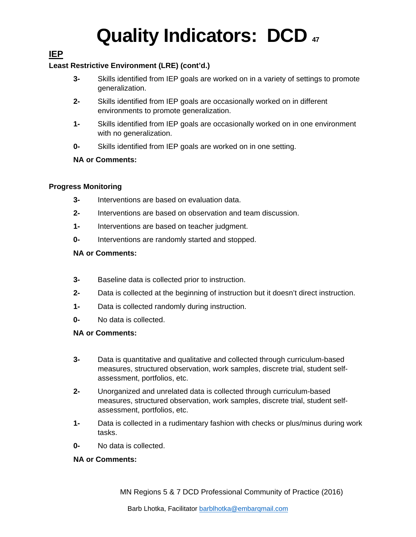# **IEP**

## **Least Restrictive Environment (LRE) (cont'd.)**

- **3-** Skills identified from IEP goals are worked on in a variety of settings to promote generalization.
- **2-** Skills identified from IEP goals are occasionally worked on in different environments to promote generalization.
- **1-** Skills identified from IEP goals are occasionally worked on in one environment with no generalization.
- **0-** Skills identified from IEP goals are worked on in one setting.

## **NA or Comments:**

## **Progress Monitoring**

- **3-** Interventions are based on evaluation data.
- **2-** Interventions are based on observation and team discussion.
- **1-** Interventions are based on teacher judgment.
- **0-** Interventions are randomly started and stopped.

## **NA or Comments:**

- **3-** Baseline data is collected prior to instruction.
- **2-** Data is collected at the beginning of instruction but it doesn't direct instruction.
- **1-** Data is collected randomly during instruction.
- **0-** No data is collected.

### **NA or Comments:**

- **3-** Data is quantitative and qualitative and collected through curriculum-based measures, structured observation, work samples, discrete trial, student selfassessment, portfolios, etc.
- **2-** Unorganized and unrelated data is collected through curriculum-based measures, structured observation, work samples, discrete trial, student selfassessment, portfolios, etc.
- **1-** Data is collected in a rudimentary fashion with checks or plus/minus during work tasks.
- **0-** No data is collected.

## **NA or Comments:**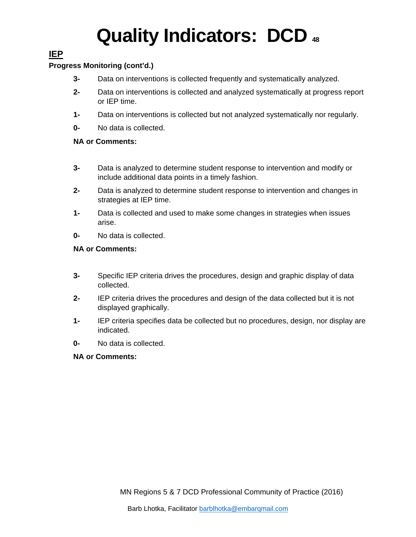# **IEP**

## **Progress Monitoring (cont'd.)**

- **3-** Data on interventions is collected frequently and systematically analyzed.
- **2-** Data on interventions is collected and analyzed systematically at progress report or IEP time.
- **1-** Data on interventions is collected but not analyzed systematically nor regularly.
- **0-** No data is collected.

## **NA or Comments:**

- **3-** Data is analyzed to determine student response to intervention and modify or include additional data points in a timely fashion.
- **2-** Data is analyzed to determine student response to intervention and changes in strategies at IEP time.
- **1-** Data is collected and used to make some changes in strategies when issues arise.
- **0-** No data is collected.

### **NA or Comments:**

- **3-** Specific IEP criteria drives the procedures, design and graphic display of data collected.
- **2-** IEP criteria drives the procedures and design of the data collected but it is not displayed graphically.
- **1-** IEP criteria specifies data be collected but no procedures, design, nor display are indicated.
- **0-** No data is collected.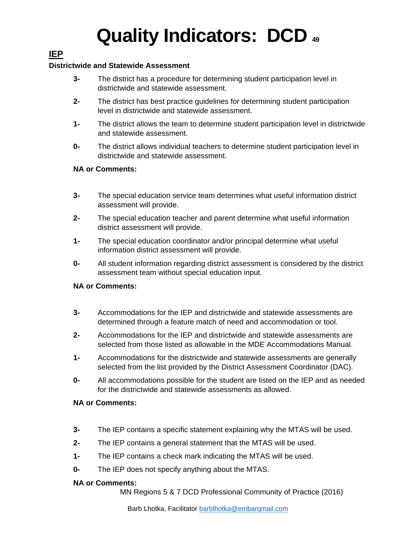# **IEP**

### **Districtwide and Statewide Assessment**

- **3-** The district has a procedure for determining student participation level in districtwide and statewide assessment.
- **2-** The district has best practice guidelines for determining student participation level in districtwide and statewide assessment.
- **1-** The district allows the team to determine student participation level in districtwide and statewide assessment.
- **0-** The district allows individual teachers to determine student participation level in districtwide and statewide assessment.

#### **NA or Comments:**

- **3-** The special education service team determines what useful information district assessment will provide.
- **2-** The special education teacher and parent determine what useful information district assessment will provide.
- **1-** The special education coordinator and/or principal determine what useful information district assessment will provide.
- **0-** All student information regarding district assessment is considered by the district assessment team without special education input.

#### **NA or Comments:**

- **3-** Accommodations for the IEP and districtwide and statewide assessments are determined through a feature match of need and accommodation or tool.
- **2-** Accommodations for the IEP and districtwide and statewide assessments are selected from those listed as allowable in the MDE Accommodations Manual.
- **1-** Accommodations for the districtwide and statewide assessments are generally selected from the list provided by the District Assessment Coordinator (DAC).
- **0-** All accommodations possible for the student are listed on the IEP and as needed for the districtwide and statewide assessments as allowed.

#### **NA or Comments:**

- **3-** The IEP contains a specific statement explaining why the MTAS will be used.
- **2-** The IEP contains a general statement that the MTAS will be used.
- **1-** The IEP contains a check mark indicating the MTAS will be used.
- **0-** The IEP does not specify anything about the MTAS.

#### **NA or Comments:**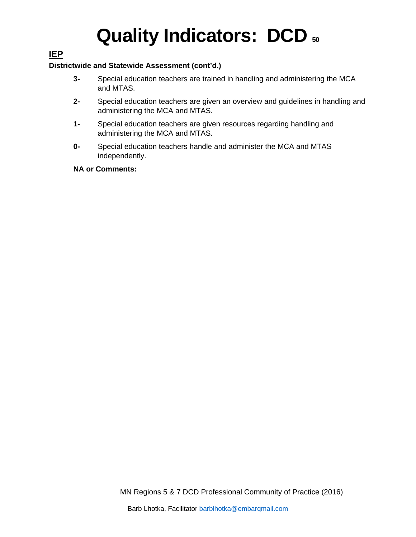# **IEP**

### **Districtwide and Statewide Assessment (cont'd.)**

- **3-** Special education teachers are trained in handling and administering the MCA and MTAS.
- **2-** Special education teachers are given an overview and guidelines in handling and administering the MCA and MTAS.
- **1-** Special education teachers are given resources regarding handling and administering the MCA and MTAS.
- **0-** Special education teachers handle and administer the MCA and MTAS independently.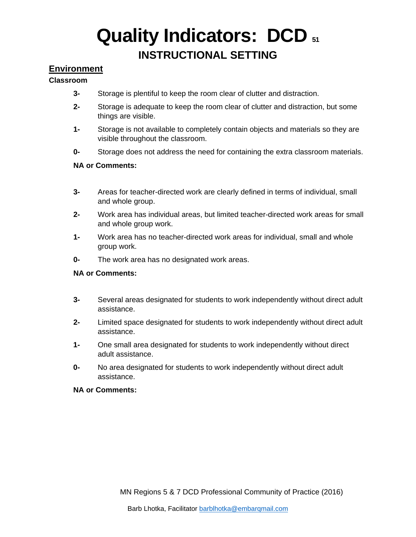# **Quality Indicators: DCD 51 INSTRUCTIONAL SETTING**

## **Environment**

#### **Classroom**

- **3-** Storage is plentiful to keep the room clear of clutter and distraction.
- **2-** Storage is adequate to keep the room clear of clutter and distraction, but some things are visible.
- **1-** Storage is not available to completely contain objects and materials so they are visible throughout the classroom.
- **0-** Storage does not address the need for containing the extra classroom materials.

#### **NA or Comments:**

- **3-** Areas for teacher-directed work are clearly defined in terms of individual, small and whole group.
- **2-** Work area has individual areas, but limited teacher-directed work areas for small and whole group work.
- **1-** Work area has no teacher-directed work areas for individual, small and whole group work.
- **0-** The work area has no designated work areas.

#### **NA or Comments:**

- **3-** Several areas designated for students to work independently without direct adult assistance.
- **2-** Limited space designated for students to work independently without direct adult assistance.
- **1-** One small area designated for students to work independently without direct adult assistance.
- **0-** No area designated for students to work independently without direct adult assistance.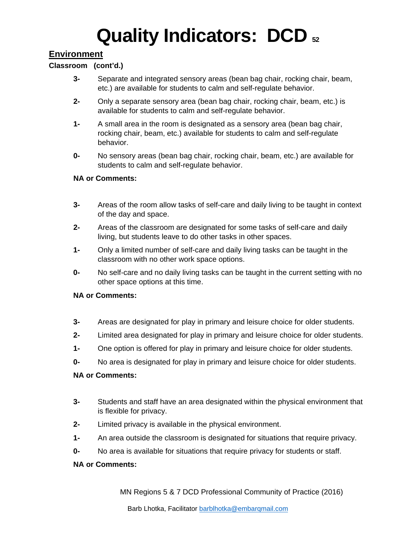# **Quality Indicators: DCD**  $\boldsymbol{52}$

## **Environment**

### **Classroom (cont'd.)**

- **3-** Separate and integrated sensory areas (bean bag chair, rocking chair, beam, etc.) are available for students to calm and self-regulate behavior.
- **2-** Only a separate sensory area (bean bag chair, rocking chair, beam, etc.) is available for students to calm and self-regulate behavior.
- **1-** A small area in the room is designated as a sensory area (bean bag chair, rocking chair, beam, etc.) available for students to calm and self-regulate behavior.
- **0-** No sensory areas (bean bag chair, rocking chair, beam, etc.) are available for students to calm and self-regulate behavior.

#### **NA or Comments:**

- **3-** Areas of the room allow tasks of self-care and daily living to be taught in context of the day and space.
- **2-** Areas of the classroom are designated for some tasks of self-care and daily living, but students leave to do other tasks in other spaces.
- **1-** Only a limited number of self-care and daily living tasks can be taught in the classroom with no other work space options.
- **0-** No self-care and no daily living tasks can be taught in the current setting with no other space options at this time.

### **NA or Comments:**

- **3-** Areas are designated for play in primary and leisure choice for older students.
- **2-** Limited area designated for play in primary and leisure choice for older students.
- **1-** One option is offered for play in primary and leisure choice for older students.
- **0-** No area is designated for play in primary and leisure choice for older students.

#### **NA or Comments:**

- **3-** Students and staff have an area designated within the physical environment that is flexible for privacy.
- **2-** Limited privacy is available in the physical environment.
- **1-** An area outside the classroom is designated for situations that require privacy.
- **0-** No area is available for situations that require privacy for students or staff.

#### **NA or Comments:**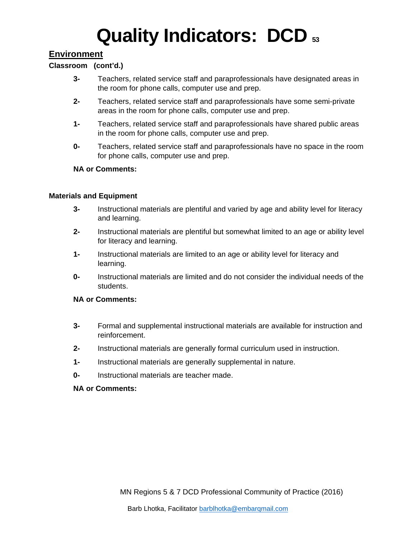## **Environment**

#### **Classroom (cont'd.)**

- **3-** Teachers, related service staff and paraprofessionals have designated areas in the room for phone calls, computer use and prep.
- **2-** Teachers, related service staff and paraprofessionals have some semi-private areas in the room for phone calls, computer use and prep.
- **1-** Teachers, related service staff and paraprofessionals have shared public areas in the room for phone calls, computer use and prep.
- **0-** Teachers, related service staff and paraprofessionals have no space in the room for phone calls, computer use and prep.

#### **NA or Comments:**

#### **Materials and Equipment**

- **3-** Instructional materials are plentiful and varied by age and ability level for literacy and learning.
- **2-** Instructional materials are plentiful but somewhat limited to an age or ability level for literacy and learning.
- **1-** Instructional materials are limited to an age or ability level for literacy and learning.
- **0-** Instructional materials are limited and do not consider the individual needs of the students.

#### **NA or Comments:**

- **3-** Formal and supplemental instructional materials are available for instruction and reinforcement.
- **2-** Instructional materials are generally formal curriculum used in instruction.
- **1-** Instructional materials are generally supplemental in nature.
- **0-** Instructional materials are teacher made.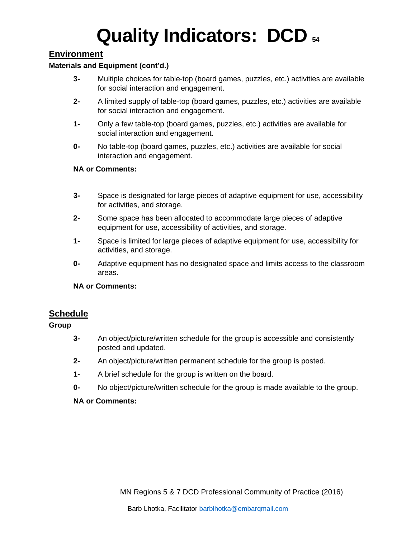## **Environment**

#### **Materials and Equipment (cont'd.)**

- **3-** Multiple choices for table-top (board games, puzzles, etc.) activities are available for social interaction and engagement.
- **2-** A limited supply of table-top (board games, puzzles, etc.) activities are available for social interaction and engagement.
- **1-** Only a few table-top (board games, puzzles, etc.) activities are available for social interaction and engagement.
- **0-** No table-top (board games, puzzles, etc.) activities are available for social interaction and engagement.

#### **NA or Comments:**

- **3-** Space is designated for large pieces of adaptive equipment for use, accessibility for activities, and storage.
- **2-** Some space has been allocated to accommodate large pieces of adaptive equipment for use, accessibility of activities, and storage.
- **1-** Space is limited for large pieces of adaptive equipment for use, accessibility for activities, and storage.
- **0-** Adaptive equipment has no designated space and limits access to the classroom areas.

#### **NA or Comments:**

### **Schedule**

### **Group**

- **3-** An object/picture/written schedule for the group is accessible and consistently posted and updated.
- **2-** An object/picture/written permanent schedule for the group is posted.
- **1-** A brief schedule for the group is written on the board.
- **0-** No object/picture/written schedule for the group is made available to the group.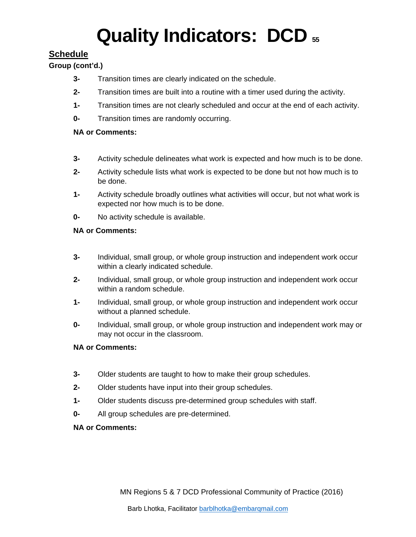# **Schedule**

## **Group (cont'd.)**

- **3-** Transition times are clearly indicated on the schedule.
- **2-** Transition times are built into a routine with a timer used during the activity.
- **1-** Transition times are not clearly scheduled and occur at the end of each activity.
- **0-** Transition times are randomly occurring.

### **NA or Comments:**

- **3-** Activity schedule delineates what work is expected and how much is to be done.
- **2-** Activity schedule lists what work is expected to be done but not how much is to be done.
- **1-** Activity schedule broadly outlines what activities will occur, but not what work is expected nor how much is to be done.
- **0-** No activity schedule is available.

### **NA or Comments:**

- **3-** Individual, small group, or whole group instruction and independent work occur within a clearly indicated schedule.
- **2-** Individual, small group, or whole group instruction and independent work occur within a random schedule.
- **1-** Individual, small group, or whole group instruction and independent work occur without a planned schedule.
- **0-** Individual, small group, or whole group instruction and independent work may or may not occur in the classroom.

### **NA or Comments:**

- **3-** Older students are taught to how to make their group schedules.
- **2-** Older students have input into their group schedules.
- **1-** Older students discuss pre-determined group schedules with staff.
- **0-** All group schedules are pre-determined.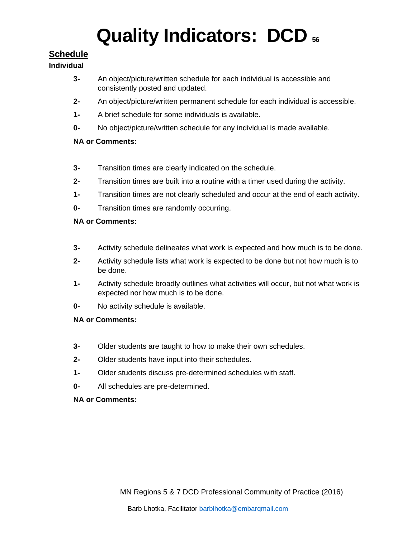# **Schedule**

### **Individual**

- **3-** An object/picture/written schedule for each individual is accessible and consistently posted and updated.
- **2-** An object/picture/written permanent schedule for each individual is accessible.
- **1-** A brief schedule for some individuals is available.
- **0-** No object/picture/written schedule for any individual is made available.

### **NA or Comments:**

- **3-** Transition times are clearly indicated on the schedule.
- **2-** Transition times are built into a routine with a timer used during the activity.
- **1-** Transition times are not clearly scheduled and occur at the end of each activity.
- **0-** Transition times are randomly occurring.

### **NA or Comments:**

- **3-** Activity schedule delineates what work is expected and how much is to be done.
- **2-** Activity schedule lists what work is expected to be done but not how much is to be done.
- **1-** Activity schedule broadly outlines what activities will occur, but not what work is expected nor how much is to be done.
- **0-** No activity schedule is available.

### **NA or Comments:**

- **3-** Older students are taught to how to make their own schedules.
- **2-** Older students have input into their schedules.
- **1-** Older students discuss pre-determined schedules with staff.
- **0-** All schedules are pre-determined.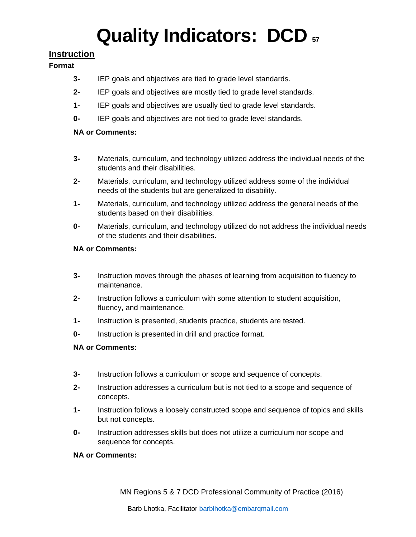# **Instruction**

### **Format**

- **3-** IEP goals and objectives are tied to grade level standards.
- **2-** IEP goals and objectives are mostly tied to grade level standards.
- **1-** IEP goals and objectives are usually tied to grade level standards.
- **0-** IEP goals and objectives are not tied to grade level standards.

## **NA or Comments:**

- **3-** Materials, curriculum, and technology utilized address the individual needs of the students and their disabilities.
- **2-** Materials, curriculum, and technology utilized address some of the individual needs of the students but are generalized to disability.
- **1-** Materials, curriculum, and technology utilized address the general needs of the students based on their disabilities.
- **0-** Materials, curriculum, and technology utilized do not address the individual needs of the students and their disabilities.

## **NA or Comments:**

- **3-** Instruction moves through the phases of learning from acquisition to fluency to maintenance.
- **2-** Instruction follows a curriculum with some attention to student acquisition, fluency, and maintenance.
- **1-** Instruction is presented, students practice, students are tested.
- **0-** Instruction is presented in drill and practice format.

## **NA or Comments:**

- **3-** Instruction follows a curriculum or scope and sequence of concepts.
- **2-** Instruction addresses a curriculum but is not tied to a scope and sequence of concepts.
- **1-** Instruction follows a loosely constructed scope and sequence of topics and skills but not concepts.
- **0-** Instruction addresses skills but does not utilize a curriculum nor scope and sequence for concepts.

## **NA or Comments:**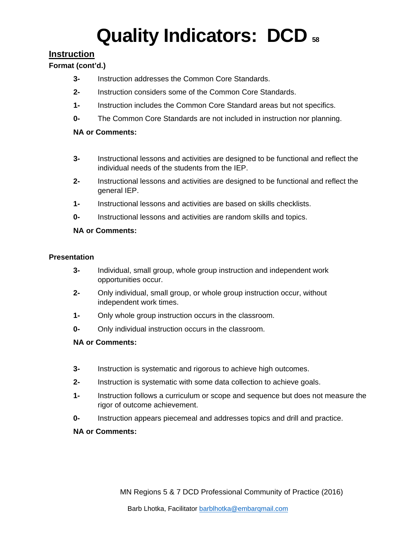# **Instruction**

## **Format (cont'd.)**

- **3-** Instruction addresses the Common Core Standards.
- **2-** Instruction considers some of the Common Core Standards.
- **1-** Instruction includes the Common Core Standard areas but not specifics.
- **0-** The Common Core Standards are not included in instruction nor planning.

## **NA or Comments:**

- **3-** Instructional lessons and activities are designed to be functional and reflect the individual needs of the students from the IEP.
- **2-** Instructional lessons and activities are designed to be functional and reflect the general IEP.
- **1-** Instructional lessons and activities are based on skills checklists.
- **0-** Instructional lessons and activities are random skills and topics.

## **NA or Comments:**

### **Presentation**

- **3-** Individual, small group, whole group instruction and independent work opportunities occur.
- **2-** Only individual, small group, or whole group instruction occur, without independent work times.
- **1-** Only whole group instruction occurs in the classroom.
- **0-** Only individual instruction occurs in the classroom.

## **NA or Comments:**

- **3-** Instruction is systematic and rigorous to achieve high outcomes.
- **2-** Instruction is systematic with some data collection to achieve goals.
- **1-** Instruction follows a curriculum or scope and sequence but does not measure the rigor of outcome achievement.
- **0-** Instruction appears piecemeal and addresses topics and drill and practice.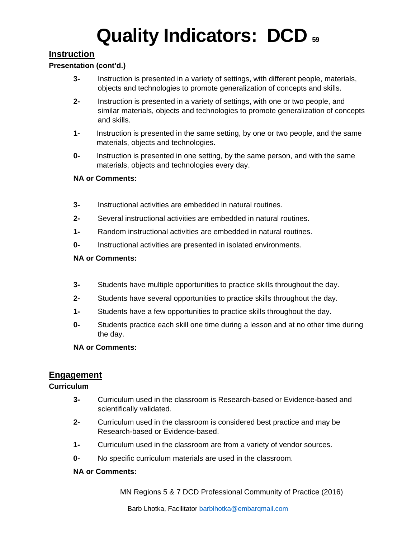# **Instruction**

### **Presentation (cont'd.)**

- **3-** Instruction is presented in a variety of settings, with different people, materials, objects and technologies to promote generalization of concepts and skills.
- **2-** Instruction is presented in a variety of settings, with one or two people, and similar materials, objects and technologies to promote generalization of concepts and skills.
- **1-** Instruction is presented in the same setting, by one or two people, and the same materials, objects and technologies.
- **0-** Instruction is presented in one setting, by the same person, and with the same materials, objects and technologies every day.

### **NA or Comments:**

- **3-** Instructional activities are embedded in natural routines.
- **2-** Several instructional activities are embedded in natural routines.
- **1-** Random instructional activities are embedded in natural routines.
- **0-** Instructional activities are presented in isolated environments.

### **NA or Comments:**

- **3-** Students have multiple opportunities to practice skills throughout the day.
- **2-** Students have several opportunities to practice skills throughout the day.
- **1-** Students have a few opportunities to practice skills throughout the day.
- **0-** Students practice each skill one time during a lesson and at no other time during the day.

### **NA or Comments:**

# **Engagement**

## **Curriculum**

- **3-** Curriculum used in the classroom is Research-based or Evidence-based and scientifically validated.
- **2-** Curriculum used in the classroom is considered best practice and may be Research-based or Evidence-based.
- **1-** Curriculum used in the classroom are from a variety of vendor sources.
- **0-** No specific curriculum materials are used in the classroom.

### **NA or Comments:**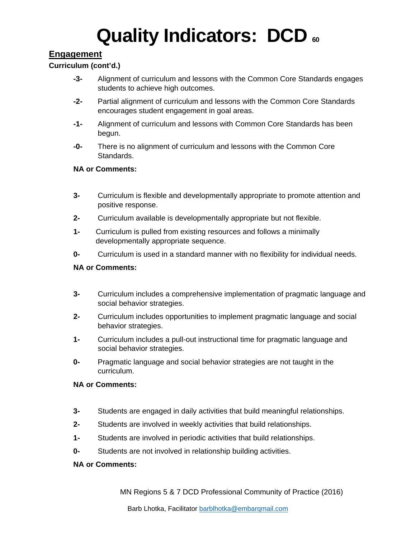# **Engagement**

### **Curriculum (cont'd.)**

- **-3-** Alignment of curriculum and lessons with the Common Core Standards engages students to achieve high outcomes.
- **-2-** Partial alignment of curriculum and lessons with the Common Core Standards encourages student engagement in goal areas.
- **-1-** Alignment of curriculum and lessons with Common Core Standards has been begun.
- **-0-** There is no alignment of curriculum and lessons with the Common Core Standards.

### **NA or Comments:**

- **3-** Curriculum is flexible and developmentally appropriate to promote attention and positive response.
- **2-** Curriculum available is developmentally appropriate but not flexible.
- **1-** Curriculum is pulled from existing resources and follows a minimally developmentally appropriate sequence.
- **0-** Curriculum is used in a standard manner with no flexibility for individual needs.

#### **NA or Comments:**

- **3-** Curriculum includes a comprehensive implementation of pragmatic language and social behavior strategies.
- **2-** Curriculum includes opportunities to implement pragmatic language and social behavior strategies.
- **1-** Curriculum includes a pull-out instructional time for pragmatic language and social behavior strategies.
- **0-** Pragmatic language and social behavior strategies are not taught in the curriculum.

#### **NA or Comments:**

- **3-** Students are engaged in daily activities that build meaningful relationships.
- **2-** Students are involved in weekly activities that build relationships.
- **1-** Students are involved in periodic activities that build relationships.
- **0-** Students are not involved in relationship building activities.

#### **NA or Comments:**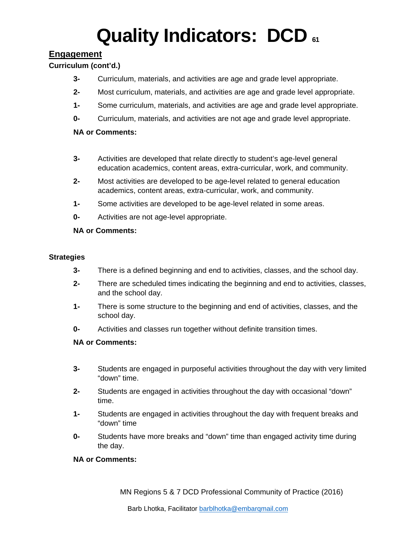# **Engagement**

### **Curriculum (cont'd.)**

- **3-** Curriculum, materials, and activities are age and grade level appropriate.
- **2-** Most curriculum, materials, and activities are age and grade level appropriate.
- **1-** Some curriculum, materials, and activities are age and grade level appropriate.
- **0-** Curriculum, materials, and activities are not age and grade level appropriate.

### **NA or Comments:**

- **3-** Activities are developed that relate directly to student's age-level general education academics, content areas, extra-curricular, work, and community.
- **2-** Most activities are developed to be age-level related to general education academics, content areas, extra-curricular, work, and community.
- **1-** Some activities are developed to be age-level related in some areas.
- **0-** Activities are not age-level appropriate.

#### **NA or Comments:**

#### **Strategies**

- **3-** There is a defined beginning and end to activities, classes, and the school day.
- **2-** There are scheduled times indicating the beginning and end to activities, classes, and the school day.
- **1-** There is some structure to the beginning and end of activities, classes, and the school day.
- **0-** Activities and classes run together without definite transition times.

#### **NA or Comments:**

- **3-** Students are engaged in purposeful activities throughout the day with very limited "down" time.
- **2-** Students are engaged in activities throughout the day with occasional "down" time.
- **1-** Students are engaged in activities throughout the day with frequent breaks and "down" time
- **0-** Students have more breaks and "down" time than engaged activity time during the day.

### **NA or Comments:**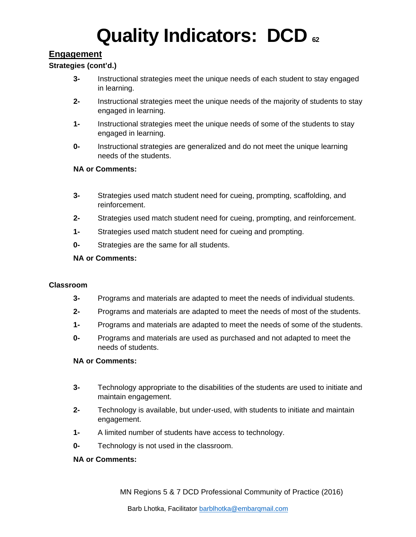# **Engagement**

### **Strategies (cont'd.)**

- **3-** Instructional strategies meet the unique needs of each student to stay engaged in learning.
- **2-** Instructional strategies meet the unique needs of the majority of students to stay engaged in learning.
- **1-** Instructional strategies meet the unique needs of some of the students to stay engaged in learning.
- **0-** Instructional strategies are generalized and do not meet the unique learning needs of the students.

#### **NA or Comments:**

- **3-** Strategies used match student need for cueing, prompting, scaffolding, and reinforcement.
- **2-** Strategies used match student need for cueing, prompting, and reinforcement.
- **1-** Strategies used match student need for cueing and prompting.
- **0-** Strategies are the same for all students.

#### **NA or Comments:**

#### **Classroom**

- **3-** Programs and materials are adapted to meet the needs of individual students.
- **2-** Programs and materials are adapted to meet the needs of most of the students.
- **1-** Programs and materials are adapted to meet the needs of some of the students.
- **0-** Programs and materials are used as purchased and not adapted to meet the needs of students.

#### **NA or Comments:**

- **3-** Technology appropriate to the disabilities of the students are used to initiate and maintain engagement.
- **2-** Technology is available, but under-used, with students to initiate and maintain engagement.
- **1-** A limited number of students have access to technology.
- **0-** Technology is not used in the classroom.

#### **NA or Comments:**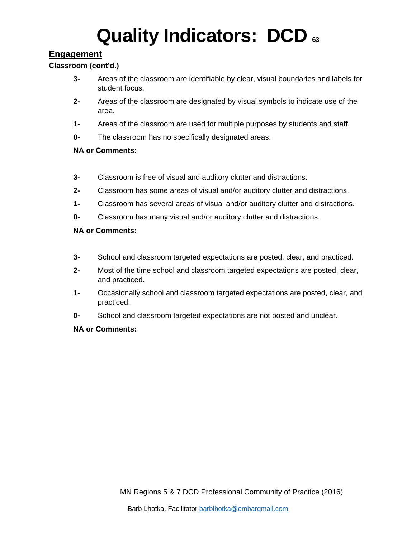# **Engagement**

### **Classroom (cont'd.)**

- **3-** Areas of the classroom are identifiable by clear, visual boundaries and labels for student focus.
- **2-** Areas of the classroom are designated by visual symbols to indicate use of the area.
- **1-** Areas of the classroom are used for multiple purposes by students and staff.
- **0-** The classroom has no specifically designated areas.

### **NA or Comments:**

- **3-** Classroom is free of visual and auditory clutter and distractions.
- **2-** Classroom has some areas of visual and/or auditory clutter and distractions.
- **1-** Classroom has several areas of visual and/or auditory clutter and distractions.
- **0-** Classroom has many visual and/or auditory clutter and distractions.

#### **NA or Comments:**

- **3-** School and classroom targeted expectations are posted, clear, and practiced.
- **2-** Most of the time school and classroom targeted expectations are posted, clear, and practiced.
- **1-** Occasionally school and classroom targeted expectations are posted, clear, and practiced.
- **0-** School and classroom targeted expectations are not posted and unclear.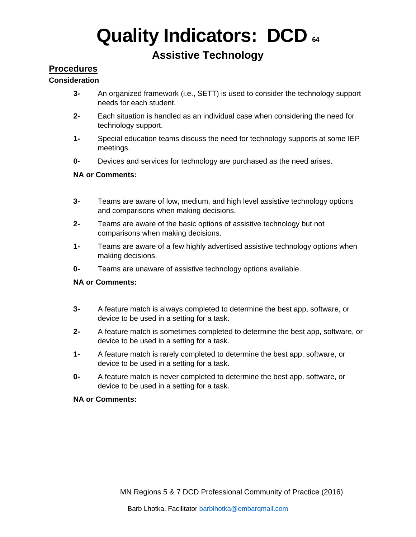# **Assistive Technology**

## **Procedures**

### **Consideration**

- **3-** An organized framework (i.e., SETT) is used to consider the technology support needs for each student.
- **2-** Each situation is handled as an individual case when considering the need for technology support.
- **1-** Special education teams discuss the need for technology supports at some IEP meetings.
- **0-** Devices and services for technology are purchased as the need arises.

### **NA or Comments:**

- **3-** Teams are aware of low, medium, and high level assistive technology options and comparisons when making decisions.
- **2-** Teams are aware of the basic options of assistive technology but not comparisons when making decisions.
- **1-** Teams are aware of a few highly advertised assistive technology options when making decisions.
- **0-** Teams are unaware of assistive technology options available.

#### **NA or Comments:**

- **3-** A feature match is always completed to determine the best app, software, or device to be used in a setting for a task.
- **2-** A feature match is sometimes completed to determine the best app, software, or device to be used in a setting for a task.
- **1-** A feature match is rarely completed to determine the best app, software, or device to be used in a setting for a task.
- **0-** A feature match is never completed to determine the best app, software, or device to be used in a setting for a task.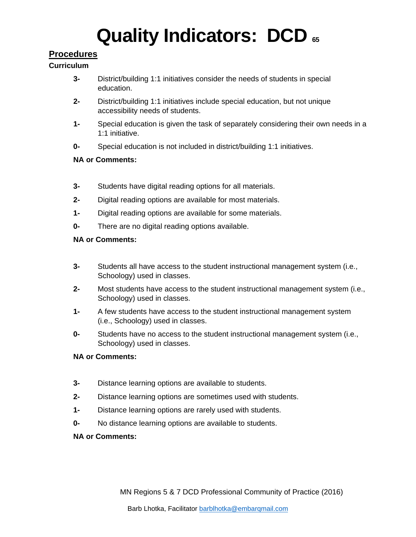# **Procedures**

### **Curriculum**

- **3-** District/building 1:1 initiatives consider the needs of students in special education.
- **2-** District/building 1:1 initiatives include special education, but not unique accessibility needs of students.
- **1-** Special education is given the task of separately considering their own needs in a 1:1 initiative.
- **0-** Special education is not included in district/building 1:1 initiatives.

## **NA or Comments:**

- **3-** Students have digital reading options for all materials.
- **2-** Digital reading options are available for most materials.
- **1-** Digital reading options are available for some materials.
- **0-** There are no digital reading options available.

## **NA or Comments:**

- **3-** Students all have access to the student instructional management system (i.e., Schoology) used in classes.
- **2-** Most students have access to the student instructional management system (i.e., Schoology) used in classes.
- **1-** A few students have access to the student instructional management system (i.e., Schoology) used in classes.
- **0-** Students have no access to the student instructional management system (i.e., Schoology) used in classes.

## **NA or Comments:**

- **3-** Distance learning options are available to students.
- **2-** Distance learning options are sometimes used with students.
- **1-** Distance learning options are rarely used with students.
- **0-** No distance learning options are available to students.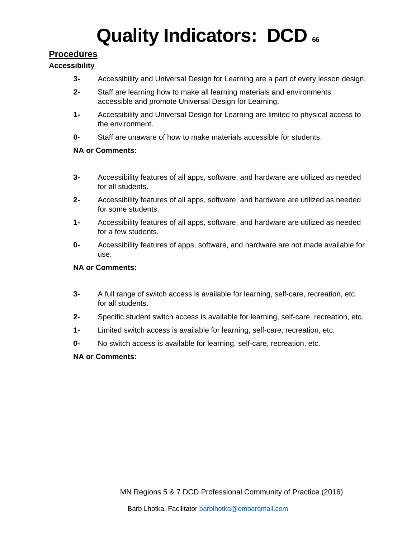# **Procedures**

## **Accessibility**

- **3-** Accessibility and Universal Design for Learning are a part of every lesson design.
- **2-** Staff are learning how to make all learning materials and environments accessible and promote Universal Design for Learning.
- **1-** Accessibility and Universal Design for Learning are limited to physical access to the environment.
- **0-** Staff are unaware of how to make materials accessible for students.

## **NA or Comments:**

- **3-** Accessibility features of all apps, software, and hardware are utilized as needed for all students.
- **2-** Accessibility features of all apps, software, and hardware are utilized as needed for some students.
- **1-** Accessibility features of all apps, software, and hardware are utilized as needed for a few students.
- **0-** Accessibility features of apps, software, and hardware are not made available for use.

### **NA or Comments:**

- **3-** A full range of switch access is available for learning, self-care, recreation, etc. for all students.
- **2-** Specific student switch access is available for learning, self-care, recreation, etc.
- **1-** Limited switch access is available for learning, self-care, recreation, etc.
- **0-** No switch access is available for learning, self-care, recreation, etc.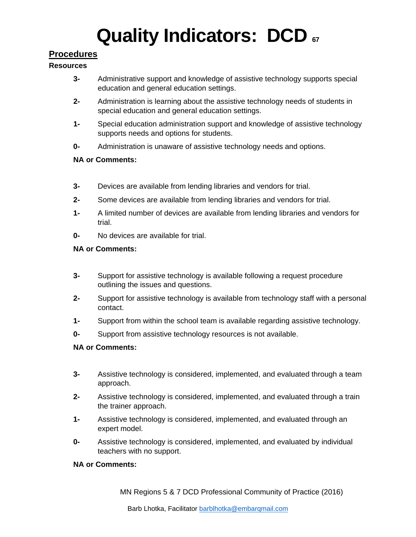# **Procedures**

#### **Resources**

- **3-** Administrative support and knowledge of assistive technology supports special education and general education settings.
- **2-** Administration is learning about the assistive technology needs of students in special education and general education settings.
- **1-** Special education administration support and knowledge of assistive technology supports needs and options for students.
- **0-** Administration is unaware of assistive technology needs and options.

### **NA or Comments:**

- **3-** Devices are available from lending libraries and vendors for trial.
- **2-** Some devices are available from lending libraries and vendors for trial.
- **1-** A limited number of devices are available from lending libraries and vendors for trial.
- **0-** No devices are available for trial.

#### **NA or Comments:**

- **3-** Support for assistive technology is available following a request procedure outlining the issues and questions.
- **2-** Support for assistive technology is available from technology staff with a personal contact.
- **1-** Support from within the school team is available regarding assistive technology.
- **0-** Support from assistive technology resources is not available.

### **NA or Comments:**

- **3-** Assistive technology is considered, implemented, and evaluated through a team approach.
- **2-** Assistive technology is considered, implemented, and evaluated through a train the trainer approach.
- **1-** Assistive technology is considered, implemented, and evaluated through an expert model.
- **0-** Assistive technology is considered, implemented, and evaluated by individual teachers with no support.

#### **NA or Comments:**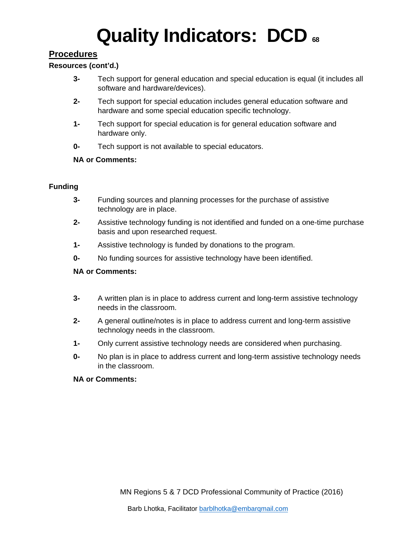# **Procedures**

### **Resources (cont'd.)**

- **3-** Tech support for general education and special education is equal (it includes all software and hardware/devices).
- **2-** Tech support for special education includes general education software and hardware and some special education specific technology.
- **1-** Tech support for special education is for general education software and hardware only.
- **0-** Tech support is not available to special educators.

#### **NA or Comments:**

#### **Funding**

- **3-** Funding sources and planning processes for the purchase of assistive technology are in place.
- **2-** Assistive technology funding is not identified and funded on a one-time purchase basis and upon researched request.
- **1-** Assistive technology is funded by donations to the program.
- **0-** No funding sources for assistive technology have been identified.

#### **NA or Comments:**

- **3-** A written plan is in place to address current and long-term assistive technology needs in the classroom.
- **2-** A general outline/notes is in place to address current and long-term assistive technology needs in the classroom.
- **1-** Only current assistive technology needs are considered when purchasing.
- **0-** No plan is in place to address current and long-term assistive technology needs in the classroom.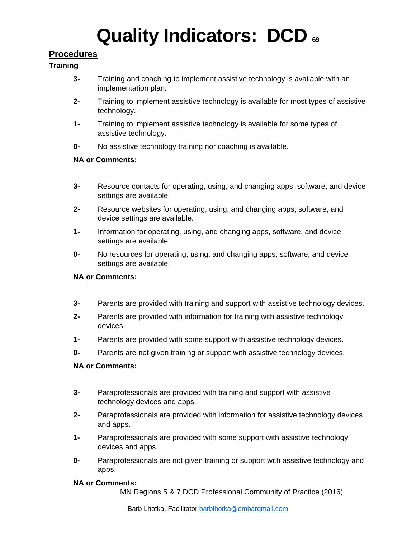# **Procedures**

#### **Training**

- **3-** Training and coaching to implement assistive technology is available with an implementation plan.
- **2-** Training to implement assistive technology is available for most types of assistive technology.
- **1-** Training to implement assistive technology is available for some types of assistive technology.
- **0-** No assistive technology training nor coaching is available.

#### **NA or Comments:**

- **3-** Resource contacts for operating, using, and changing apps, software, and device settings are available.
- **2-** Resource websites for operating, using, and changing apps, software, and device settings are available.
- **1-** Information for operating, using, and changing apps, software, and device settings are available.
- **0-** No resources for operating, using, and changing apps, software, and device settings are available.

#### **NA or Comments:**

- **3-** Parents are provided with training and support with assistive technology devices.
- **2-** Parents are provided with information for training with assistive technology devices.
- **1-** Parents are provided with some support with assistive technology devices.
- **0-** Parents are not given training or support with assistive technology devices.

#### **NA or Comments:**

- **3-** Paraprofessionals are provided with training and support with assistive technology devices and apps.
- **2-** Paraprofessionals are provided with information for assistive technology devices and apps.
- **1-** Paraprofessionals are provided with some support with assistive technology devices and apps.
- **0-** Paraprofessionals are not given training or support with assistive technology and apps.

#### **NA or Comments:**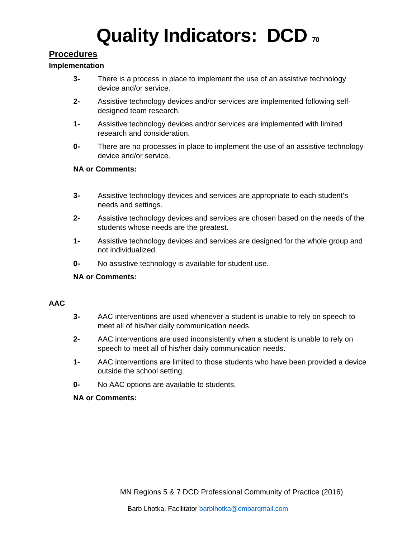# **Procedures**

#### **Implementation**

- **3-** There is a process in place to implement the use of an assistive technology device and/or service.
- **2-** Assistive technology devices and/or services are implemented following selfdesigned team research.
- **1-** Assistive technology devices and/or services are implemented with limited research and consideration.
- **0-** There are no processes in place to implement the use of an assistive technology device and/or service.

#### **NA or Comments:**

- **3-** Assistive technology devices and services are appropriate to each student's needs and settings.
- **2-** Assistive technology devices and services are chosen based on the needs of the students whose needs are the greatest.
- **1-** Assistive technology devices and services are designed for the whole group and not individualized.
- **0-** No assistive technology is available for student use.

### **NA or Comments:**

#### **AAC**

- **3-** AAC interventions are used whenever a student is unable to rely on speech to meet all of his/her daily communication needs.
- **2-** AAC interventions are used inconsistently when a student is unable to rely on speech to meet all of his/her daily communication needs.
- **1-** AAC interventions are limited to those students who have been provided a device outside the school setting.
- **0-** No AAC options are available to students.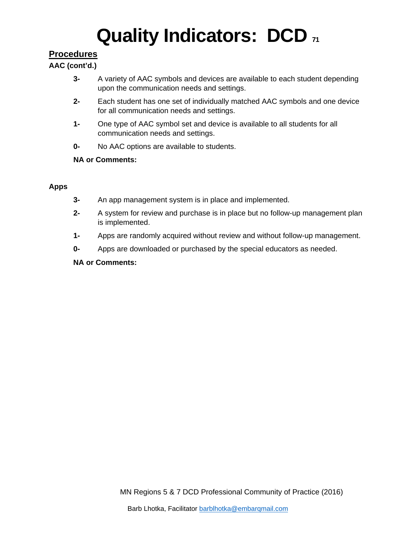# **Procedures**

## **AAC (cont'd.)**

- **3-** A variety of AAC symbols and devices are available to each student depending upon the communication needs and settings.
- **2-** Each student has one set of individually matched AAC symbols and one device for all communication needs and settings.
- **1-** One type of AAC symbol set and device is available to all students for all communication needs and settings.
- **0-** No AAC options are available to students.

## **NA or Comments:**

## **Apps**

- **3-** An app management system is in place and implemented.
- **2-** A system for review and purchase is in place but no follow-up management plan is implemented.
- **1-** Apps are randomly acquired without review and without follow-up management.
- **0-** Apps are downloaded or purchased by the special educators as needed.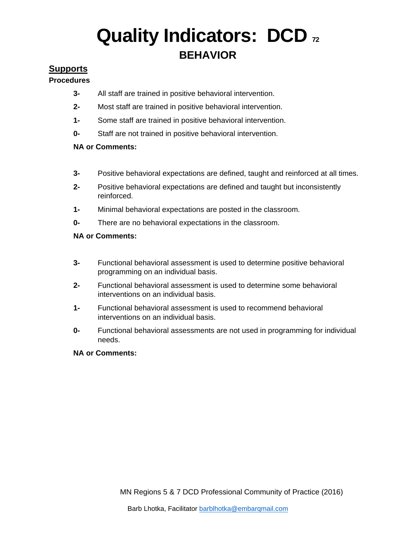# **Quality Indicators: DCD**  $\imath$ **BEHAVIOR**

### **Supports**

#### **Procedures**

- **3-** All staff are trained in positive behavioral intervention.
- **2-** Most staff are trained in positive behavioral intervention.
- **1-** Some staff are trained in positive behavioral intervention.
- **0-** Staff are not trained in positive behavioral intervention.

#### **NA or Comments:**

- **3-** Positive behavioral expectations are defined, taught and reinforced at all times.
- **2-** Positive behavioral expectations are defined and taught but inconsistently reinforced.
- **1-** Minimal behavioral expectations are posted in the classroom.
- **0-** There are no behavioral expectations in the classroom.

#### **NA or Comments:**

- **3-** Functional behavioral assessment is used to determine positive behavioral programming on an individual basis.
- **2-** Functional behavioral assessment is used to determine some behavioral interventions on an individual basis.
- **1-** Functional behavioral assessment is used to recommend behavioral interventions on an individual basis.
- **0-** Functional behavioral assessments are not used in programming for individual needs.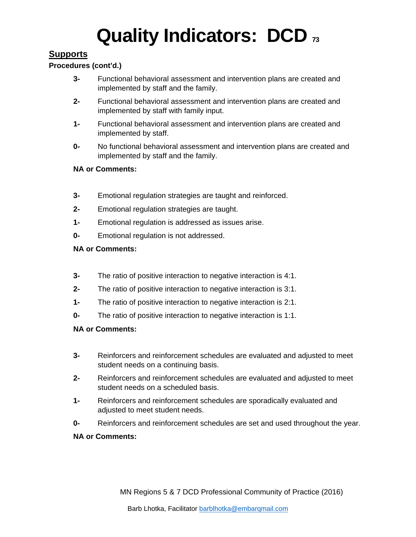# **Supports**

#### **Procedures (cont'd.)**

- **3-** Functional behavioral assessment and intervention plans are created and implemented by staff and the family.
- **2-** Functional behavioral assessment and intervention plans are created and implemented by staff with family input.
- **1-** Functional behavioral assessment and intervention plans are created and implemented by staff.
- **0-** No functional behavioral assessment and intervention plans are created and implemented by staff and the family.

#### **NA or Comments:**

- **3-** Emotional regulation strategies are taught and reinforced.
- **2-** Emotional regulation strategies are taught.
- **1-** Emotional regulation is addressed as issues arise.
- **0-** Emotional regulation is not addressed.

#### **NA or Comments:**

- **3-** The ratio of positive interaction to negative interaction is 4:1.
- **2-** The ratio of positive interaction to negative interaction is 3:1.
- **1-** The ratio of positive interaction to negative interaction is 2:1.
- **0-** The ratio of positive interaction to negative interaction is 1:1.

- **3-** Reinforcers and reinforcement schedules are evaluated and adjusted to meet student needs on a continuing basis.
- **2-** Reinforcers and reinforcement schedules are evaluated and adjusted to meet student needs on a scheduled basis.
- **1-** Reinforcers and reinforcement schedules are sporadically evaluated and adjusted to meet student needs.
- **0-** Reinforcers and reinforcement schedules are set and used throughout the year.
- **NA or Comments:**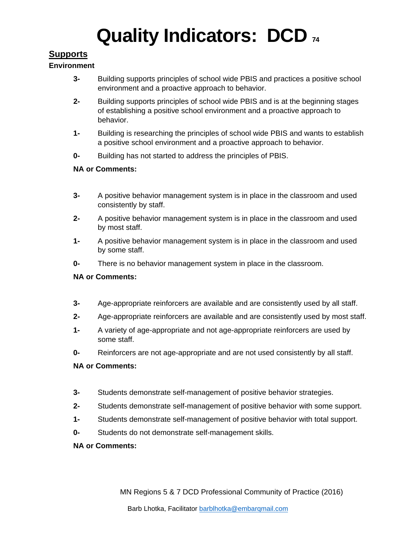# **Supports**

#### **Environment**

- **3-** Building supports principles of school wide PBIS and practices a positive school environment and a proactive approach to behavior.
- **2-** Building supports principles of school wide PBIS and is at the beginning stages of establishing a positive school environment and a proactive approach to behavior.
- **1-** Building is researching the principles of school wide PBIS and wants to establish a positive school environment and a proactive approach to behavior.
- **0-** Building has not started to address the principles of PBIS.

### **NA or Comments:**

- **3-** A positive behavior management system is in place in the classroom and used consistently by staff.
- **2-** A positive behavior management system is in place in the classroom and used by most staff.
- **1-** A positive behavior management system is in place in the classroom and used by some staff.
- **0-** There is no behavior management system in place in the classroom.

### **NA or Comments:**

- **3-** Age-appropriate reinforcers are available and are consistently used by all staff.
- **2-** Age-appropriate reinforcers are available and are consistently used by most staff.
- **1-** A variety of age-appropriate and not age-appropriate reinforcers are used by some staff.
- **0-** Reinforcers are not age-appropriate and are not used consistently by all staff.

### **NA or Comments:**

- **3-** Students demonstrate self-management of positive behavior strategies.
- **2-** Students demonstrate self-management of positive behavior with some support.
- **1-** Students demonstrate self-management of positive behavior with total support.
- **0-** Students do not demonstrate self-management skills.

#### **NA or Comments:**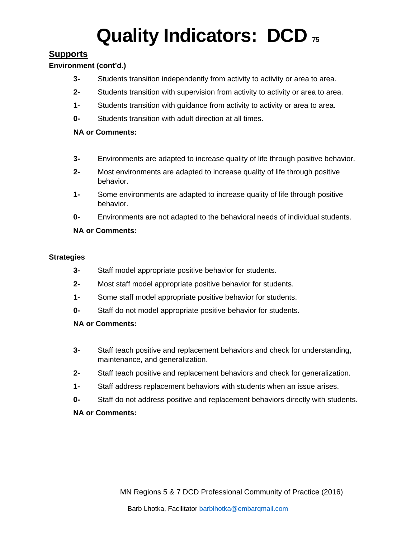## **Supports**

#### **Environment (cont'd.)**

- **3-** Students transition independently from activity to activity or area to area.
- **2-** Students transition with supervision from activity to activity or area to area.
- **1-** Students transition with guidance from activity to activity or area to area.
- **0-** Students transition with adult direction at all times.

#### **NA or Comments:**

- **3-** Environments are adapted to increase quality of life through positive behavior.
- **2-** Most environments are adapted to increase quality of life through positive behavior.
- **1-** Some environments are adapted to increase quality of life through positive behavior.
- **0-** Environments are not adapted to the behavioral needs of individual students.

#### **NA or Comments:**

#### **Strategies**

- **3-** Staff model appropriate positive behavior for students.
- **2-** Most staff model appropriate positive behavior for students.
- **1-** Some staff model appropriate positive behavior for students.
- **0-** Staff do not model appropriate positive behavior for students.

#### **NA or Comments:**

- **3-** Staff teach positive and replacement behaviors and check for understanding, maintenance, and generalization.
- **2-** Staff teach positive and replacement behaviors and check for generalization.
- **1-** Staff address replacement behaviors with students when an issue arises.
- **0-** Staff do not address positive and replacement behaviors directly with students.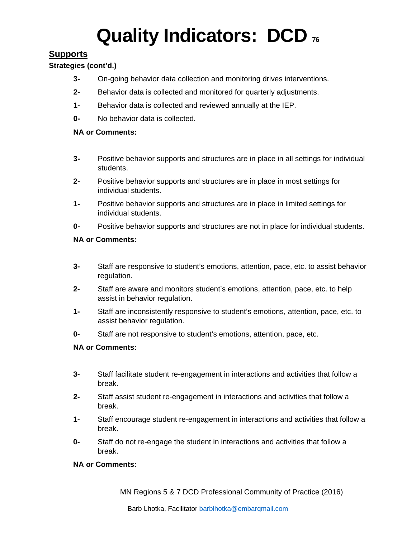# **Supports**

#### **Strategies (cont'd.)**

- **3-** On-going behavior data collection and monitoring drives interventions.
- **2-** Behavior data is collected and monitored for quarterly adjustments.
- **1-** Behavior data is collected and reviewed annually at the IEP.
- **0-** No behavior data is collected.

#### **NA or Comments:**

- **3-** Positive behavior supports and structures are in place in all settings for individual students.
- **2-** Positive behavior supports and structures are in place in most settings for individual students.
- **1-** Positive behavior supports and structures are in place in limited settings for individual students.
- **0-** Positive behavior supports and structures are not in place for individual students.

#### **NA or Comments:**

- **3-** Staff are responsive to student's emotions, attention, pace, etc. to assist behavior regulation.
- **2-** Staff are aware and monitors student's emotions, attention, pace, etc. to help assist in behavior regulation.
- **1-** Staff are inconsistently responsive to student's emotions, attention, pace, etc. to assist behavior regulation.
- **0-** Staff are not responsive to student's emotions, attention, pace, etc.

### **NA or Comments:**

- **3-** Staff facilitate student re-engagement in interactions and activities that follow a break.
- **2-** Staff assist student re-engagement in interactions and activities that follow a break.
- **1-** Staff encourage student re-engagement in interactions and activities that follow a break.
- **0-** Staff do not re-engage the student in interactions and activities that follow a break.

#### **NA or Comments:**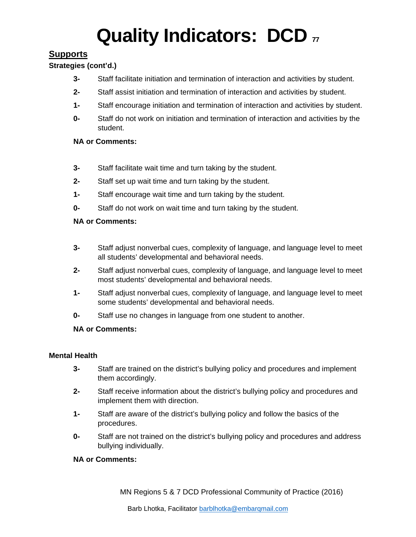# **Supports**

### **Strategies (cont'd.)**

- **3-** Staff facilitate initiation and termination of interaction and activities by student.
- **2-** Staff assist initiation and termination of interaction and activities by student.
- **1-** Staff encourage initiation and termination of interaction and activities by student.
- **0-** Staff do not work on initiation and termination of interaction and activities by the student.

#### **NA or Comments:**

- **3-** Staff facilitate wait time and turn taking by the student.
- **2-** Staff set up wait time and turn taking by the student.
- **1-** Staff encourage wait time and turn taking by the student.
- **0-** Staff do not work on wait time and turn taking by the student.

#### **NA or Comments:**

- **3-** Staff adjust nonverbal cues, complexity of language, and language level to meet all students' developmental and behavioral needs.
- **2-** Staff adjust nonverbal cues, complexity of language, and language level to meet most students' developmental and behavioral needs.
- **1-** Staff adjust nonverbal cues, complexity of language, and language level to meet some students' developmental and behavioral needs.
- **0-** Staff use no changes in language from one student to another.

### **NA or Comments:**

#### **Mental Health**

- **3-** Staff are trained on the district's bullying policy and procedures and implement them accordingly.
- **2-** Staff receive information about the district's bullying policy and procedures and implement them with direction.
- **1-** Staff are aware of the district's bullying policy and follow the basics of the procedures.
- **0-** Staff are not trained on the district's bullying policy and procedures and address bullying individually.

#### **NA or Comments:**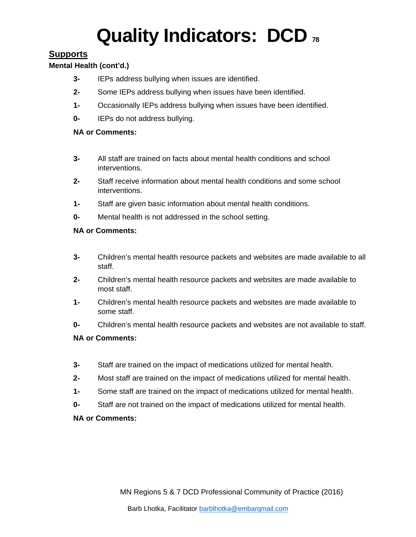## **Supports**

#### **Mental Health (cont'd.)**

- **3-** IEPs address bullying when issues are identified.
- **2-** Some IEPs address bullying when issues have been identified.
- **1-** Occasionally IEPs address bullying when issues have been identified.
- **0-** IEPs do not address bullying.

#### **NA or Comments:**

- **3-** All staff are trained on facts about mental health conditions and school interventions.
- **2-** Staff receive information about mental health conditions and some school interventions.
- **1-** Staff are given basic information about mental health conditions.
- **0-** Mental health is not addressed in the school setting.

#### **NA or Comments:**

- **3-** Children's mental health resource packets and websites are made available to all staff.
- **2-** Children's mental health resource packets and websites are made available to most staff.
- **1-** Children's mental health resource packets and websites are made available to some staff.
- **0-** Children's mental health resource packets and websites are not available to staff.

#### **NA or Comments:**

- **3-** Staff are trained on the impact of medications utilized for mental health.
- **2-** Most staff are trained on the impact of medications utilized for mental health.
- **1-** Some staff are trained on the impact of medications utilized for mental health.
- **0-** Staff are not trained on the impact of medications utilized for mental health.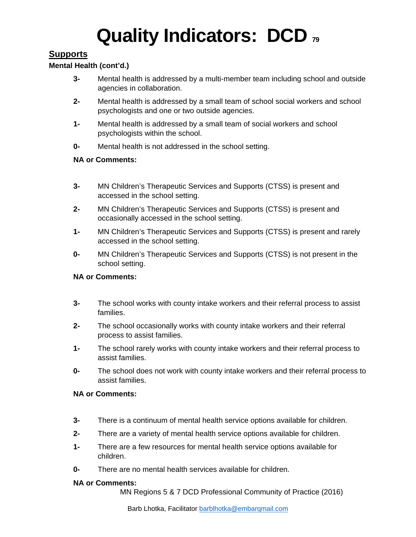## **Supports**

#### **Mental Health (cont'd.)**

- **3-** Mental health is addressed by a multi-member team including school and outside agencies in collaboration.
- **2-** Mental health is addressed by a small team of school social workers and school psychologists and one or two outside agencies.
- **1-** Mental health is addressed by a small team of social workers and school psychologists within the school.
- **0-** Mental health is not addressed in the school setting.

#### **NA or Comments:**

- **3-** MN Children's Therapeutic Services and Supports (CTSS) is present and accessed in the school setting.
- **2-** MN Children's Therapeutic Services and Supports (CTSS) is present and occasionally accessed in the school setting.
- **1-** MN Children's Therapeutic Services and Supports (CTSS) is present and rarely accessed in the school setting.
- **0-** MN Children's Therapeutic Services and Supports (CTSS) is not present in the school setting.

#### **NA or Comments:**

- **3-** The school works with county intake workers and their referral process to assist families.
- **2-** The school occasionally works with county intake workers and their referral process to assist families.
- **1-** The school rarely works with county intake workers and their referral process to assist families.
- **0-** The school does not work with county intake workers and their referral process to assist families.

#### **NA or Comments:**

- **3-** There is a continuum of mental health service options available for children.
- **2-** There are a variety of mental health service options available for children.
- **1-** There are a few resources for mental health service options available for children.
- **0-** There are no mental health services available for children.

#### **NA or Comments:**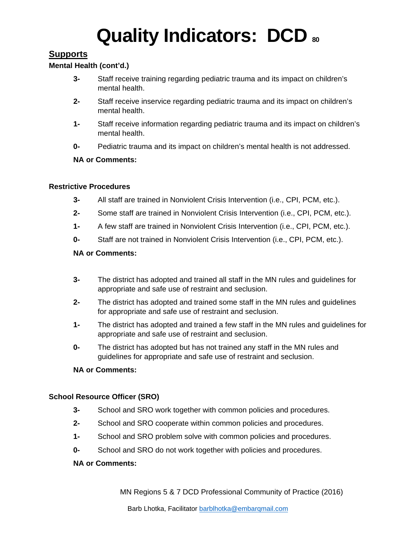## **Supports**

#### **Mental Health (cont'd.)**

- **3-** Staff receive training regarding pediatric trauma and its impact on children's mental health.
- **2-** Staff receive inservice regarding pediatric trauma and its impact on children's mental health.
- **1-** Staff receive information regarding pediatric trauma and its impact on children's mental health.
- **0-** Pediatric trauma and its impact on children's mental health is not addressed.

#### **NA or Comments:**

#### **Restrictive Procedures**

- **3-** All staff are trained in Nonviolent Crisis Intervention (i.e., CPI, PCM, etc.).
- **2-** Some staff are trained in Nonviolent Crisis Intervention (i.e., CPI, PCM, etc.).
- **1-** A few staff are trained in Nonviolent Crisis Intervention (i.e., CPI, PCM, etc.).
- **0-** Staff are not trained in Nonviolent Crisis Intervention (i.e., CPI, PCM, etc.).

#### **NA or Comments:**

- **3-** The district has adopted and trained all staff in the MN rules and guidelines for appropriate and safe use of restraint and seclusion.
- **2-** The district has adopted and trained some staff in the MN rules and guidelines for appropriate and safe use of restraint and seclusion.
- **1-** The district has adopted and trained a few staff in the MN rules and guidelines for appropriate and safe use of restraint and seclusion.
- **0-** The district has adopted but has not trained any staff in the MN rules and guidelines for appropriate and safe use of restraint and seclusion.

#### **NA or Comments:**

#### **School Resource Officer (SRO)**

- **3-** School and SRO work together with common policies and procedures.
- **2-** School and SRO cooperate within common policies and procedures.
- **1-** School and SRO problem solve with common policies and procedures.
- **0-** School and SRO do not work together with policies and procedures.

#### **NA or Comments:**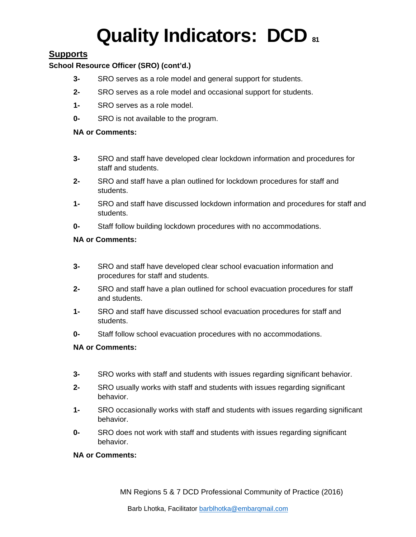## **Supports**

#### **School Resource Officer (SRO) (cont'd.)**

- **3-** SRO serves as a role model and general support for students.
- **2-** SRO serves as a role model and occasional support for students.
- **1-** SRO serves as a role model.
- **0-** SRO is not available to the program.

#### **NA or Comments:**

- **3-** SRO and staff have developed clear lockdown information and procedures for staff and students.
- **2-** SRO and staff have a plan outlined for lockdown procedures for staff and students.
- **1-** SRO and staff have discussed lockdown information and procedures for staff and students.
- **0-** Staff follow building lockdown procedures with no accommodations.

#### **NA or Comments:**

- **3-** SRO and staff have developed clear school evacuation information and procedures for staff and students.
- **2-** SRO and staff have a plan outlined for school evacuation procedures for staff and students.
- **1-** SRO and staff have discussed school evacuation procedures for staff and students.
- **0-** Staff follow school evacuation procedures with no accommodations.

### **NA or Comments:**

- **3-** SRO works with staff and students with issues regarding significant behavior.
- **2-** SRO usually works with staff and students with issues regarding significant behavior.
- **1-** SRO occasionally works with staff and students with issues regarding significant behavior.
- **0-** SRO does not work with staff and students with issues regarding significant behavior.

#### **NA or Comments:**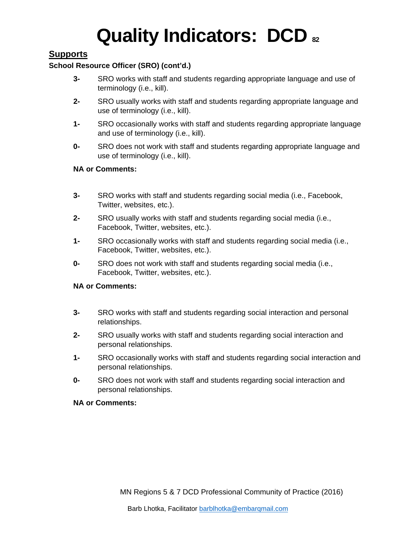## **Supports**

#### **School Resource Officer (SRO) (cont'd.)**

- **3-** SRO works with staff and students regarding appropriate language and use of terminology (i.e., kill).
- **2-** SRO usually works with staff and students regarding appropriate language and use of terminology (i.e., kill).
- **1-** SRO occasionally works with staff and students regarding appropriate language and use of terminology (i.e., kill).
- **0-** SRO does not work with staff and students regarding appropriate language and use of terminology (i.e., kill).

#### **NA or Comments:**

- **3-** SRO works with staff and students regarding social media (i.e., Facebook, Twitter, websites, etc.).
- **2-** SRO usually works with staff and students regarding social media (i.e., Facebook, Twitter, websites, etc.).
- **1-** SRO occasionally works with staff and students regarding social media (i.e., Facebook, Twitter, websites, etc.).
- **0-** SRO does not work with staff and students regarding social media (i.e., Facebook, Twitter, websites, etc.).

#### **NA or Comments:**

- **3-** SRO works with staff and students regarding social interaction and personal relationships.
- **2-** SRO usually works with staff and students regarding social interaction and personal relationships.
- **1-** SRO occasionally works with staff and students regarding social interaction and personal relationships.
- **0-** SRO does not work with staff and students regarding social interaction and personal relationships.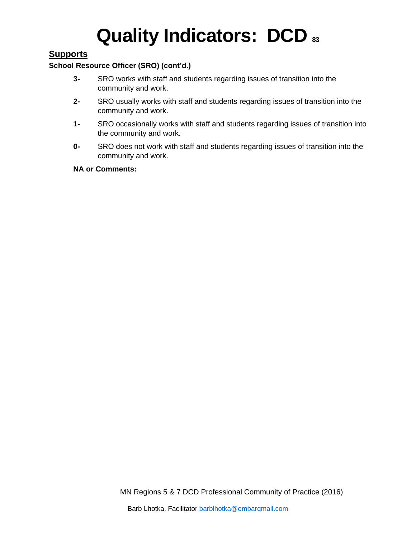# **Supports**

#### **School Resource Officer (SRO) (cont'd.)**

- **3-** SRO works with staff and students regarding issues of transition into the community and work.
- **2-** SRO usually works with staff and students regarding issues of transition into the community and work.
- **1-** SRO occasionally works with staff and students regarding issues of transition into the community and work.
- **0-** SRO does not work with staff and students regarding issues of transition into the community and work.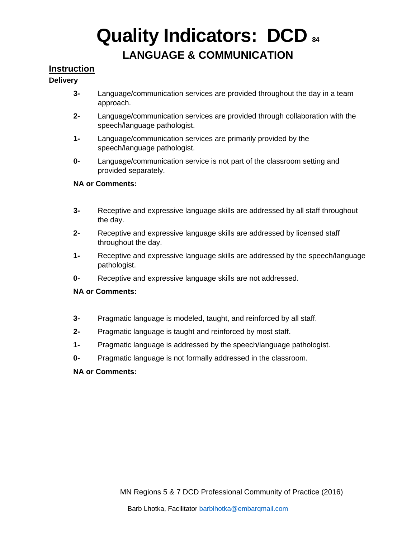# **LANGUAGE & COMMUNICATION**

## **Instruction**

#### **Delivery**

- **3-** Language/communication services are provided throughout the day in a team approach.
- **2-** Language/communication services are provided through collaboration with the speech/language pathologist.
- **1-** Language/communication services are primarily provided by the speech/language pathologist.
- **0-** Language/communication service is not part of the classroom setting and provided separately.

#### **NA or Comments:**

- **3-** Receptive and expressive language skills are addressed by all staff throughout the day.
- **2-** Receptive and expressive language skills are addressed by licensed staff throughout the day.
- **1-** Receptive and expressive language skills are addressed by the speech/language pathologist.
- **0-** Receptive and expressive language skills are not addressed.

#### **NA or Comments:**

- **3-** Pragmatic language is modeled, taught, and reinforced by all staff.
- **2-** Pragmatic language is taught and reinforced by most staff.
- **1-** Pragmatic language is addressed by the speech/language pathologist.
- **0-** Pragmatic language is not formally addressed in the classroom.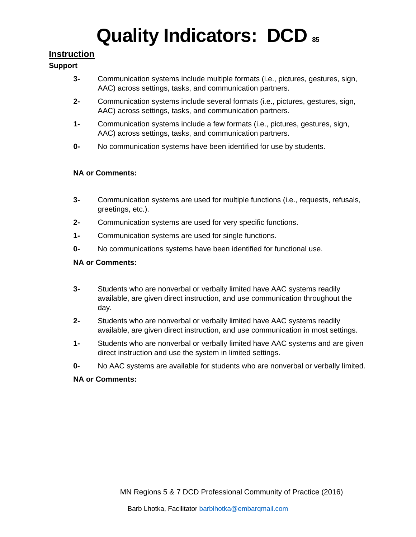## **Instruction**

#### **Support**

- **3-** Communication systems include multiple formats (i.e., pictures, gestures, sign, AAC) across settings, tasks, and communication partners.
- **2-** Communication systems include several formats (i.e., pictures, gestures, sign, AAC) across settings, tasks, and communication partners.
- **1-** Communication systems include a few formats (i.e., pictures, gestures, sign, AAC) across settings, tasks, and communication partners.
- **0-** No communication systems have been identified for use by students.

#### **NA or Comments:**

- **3-** Communication systems are used for multiple functions (i.e., requests, refusals, greetings, etc.).
- **2-** Communication systems are used for very specific functions.
- **1-** Communication systems are used for single functions.
- **0-** No communications systems have been identified for functional use.

#### **NA or Comments:**

- **3-** Students who are nonverbal or verbally limited have AAC systems readily available, are given direct instruction, and use communication throughout the day.
- **2-** Students who are nonverbal or verbally limited have AAC systems readily available, are given direct instruction, and use communication in most settings.
- **1-** Students who are nonverbal or verbally limited have AAC systems and are given direct instruction and use the system in limited settings.
- **0-** No AAC systems are available for students who are nonverbal or verbally limited.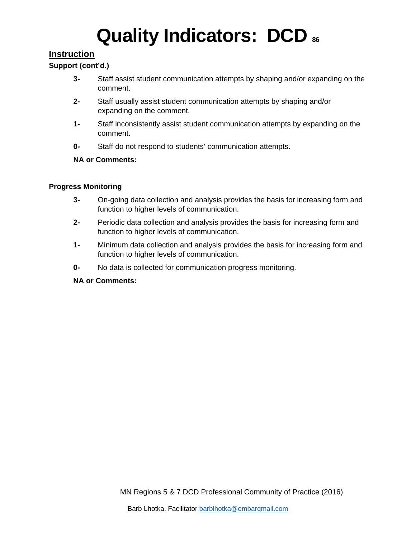### **Instruction**

#### **Support (cont'd.)**

- **3-** Staff assist student communication attempts by shaping and/or expanding on the comment.
- **2-** Staff usually assist student communication attempts by shaping and/or expanding on the comment.
- **1-** Staff inconsistently assist student communication attempts by expanding on the comment.
- **0-** Staff do not respond to students' communication attempts.

#### **NA or Comments:**

#### **Progress Monitoring**

- **3-** On-going data collection and analysis provides the basis for increasing form and function to higher levels of communication.
- **2-** Periodic data collection and analysis provides the basis for increasing form and function to higher levels of communication.
- **1-** Minimum data collection and analysis provides the basis for increasing form and function to higher levels of communication.
- **0-** No data is collected for communication progress monitoring.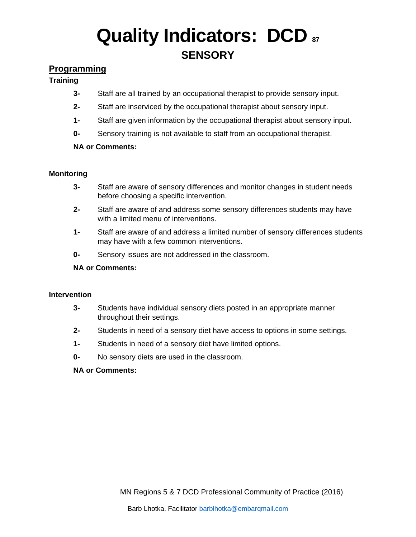# **Quality Indicators: DCD &7 SENSORY**

## **Programming**

#### **Training**

- **3-** Staff are all trained by an occupational therapist to provide sensory input.
- **2-** Staff are inserviced by the occupational therapist about sensory input.
- **1-** Staff are given information by the occupational therapist about sensory input.
- **0-** Sensory training is not available to staff from an occupational therapist.

#### **NA or Comments:**

#### **Monitoring**

- **3-** Staff are aware of sensory differences and monitor changes in student needs before choosing a specific intervention.
- **2-** Staff are aware of and address some sensory differences students may have with a limited menu of interventions.
- **1-** Staff are aware of and address a limited number of sensory differences students may have with a few common interventions.
- **0-** Sensory issues are not addressed in the classroom.

#### **NA or Comments:**

#### **Intervention**

- **3-** Students have individual sensory diets posted in an appropriate manner throughout their settings.
- **2-** Students in need of a sensory diet have access to options in some settings.
- **1-** Students in need of a sensory diet have limited options.
- **0-** No sensory diets are used in the classroom.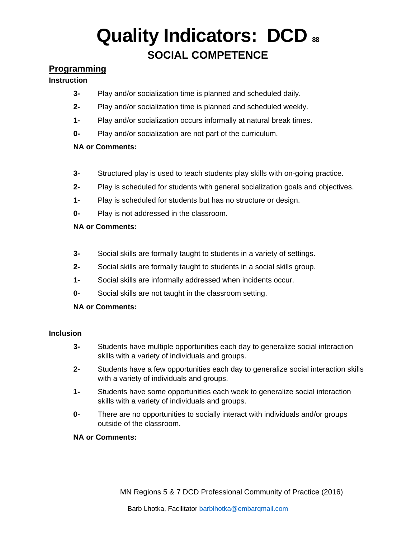# **Quality Indicators: DCD <sup>88</sup> SOCIAL COMPETENCE**

# **Programming**

#### **Instruction**

- **3-** Play and/or socialization time is planned and scheduled daily.
- **2-** Play and/or socialization time is planned and scheduled weekly.
- **1-** Play and/or socialization occurs informally at natural break times.
- **0-** Play and/or socialization are not part of the curriculum.

#### **NA or Comments:**

- **3-** Structured play is used to teach students play skills with on-going practice.
- **2-** Play is scheduled for students with general socialization goals and objectives.
- **1-** Play is scheduled for students but has no structure or design.
- **0-** Play is not addressed in the classroom.

#### **NA or Comments:**

- **3-** Social skills are formally taught to students in a variety of settings.
- **2-** Social skills are formally taught to students in a social skills group.
- **1-** Social skills are informally addressed when incidents occur.
- **0-** Social skills are not taught in the classroom setting.

#### **NA or Comments:**

#### **Inclusion**

- **3-** Students have multiple opportunities each day to generalize social interaction skills with a variety of individuals and groups.
- **2-** Students have a few opportunities each day to generalize social interaction skills with a variety of individuals and groups.
- **1-** Students have some opportunities each week to generalize social interaction skills with a variety of individuals and groups.
- **0-** There are no opportunities to socially interact with individuals and/or groups outside of the classroom.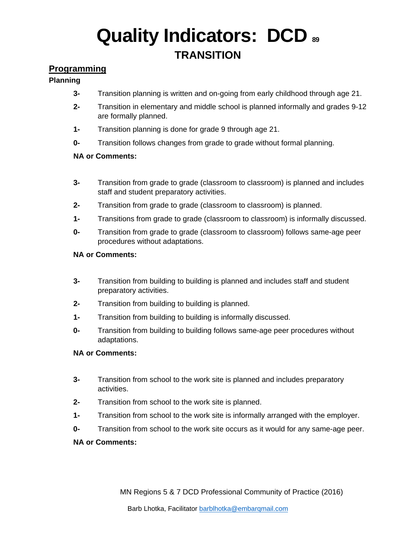# **Quality Indicators: DCD <sup>89</sup> TRANSITION**

# **Programming**

#### **Planning**

- **3-** Transition planning is written and on-going from early childhood through age 21.
- **2-** Transition in elementary and middle school is planned informally and grades 9-12 are formally planned.
- **1-** Transition planning is done for grade 9 through age 21.
- **0-** Transition follows changes from grade to grade without formal planning.

#### **NA or Comments:**

- **3-** Transition from grade to grade (classroom to classroom) is planned and includes staff and student preparatory activities.
- **2-** Transition from grade to grade (classroom to classroom) is planned.
- **1-** Transitions from grade to grade (classroom to classroom) is informally discussed.
- **0-** Transition from grade to grade (classroom to classroom) follows same-age peer procedures without adaptations.

#### **NA or Comments:**

- **3-** Transition from building to building is planned and includes staff and student preparatory activities.
- **2-** Transition from building to building is planned.
- **1-** Transition from building to building is informally discussed.
- **0-** Transition from building to building follows same-age peer procedures without adaptations.

#### **NA or Comments:**

- **3-** Transition from school to the work site is planned and includes preparatory activities.
- **2-** Transition from school to the work site is planned.
- **1-** Transition from school to the work site is informally arranged with the employer.
- **0-** Transition from school to the work site occurs as it would for any same-age peer.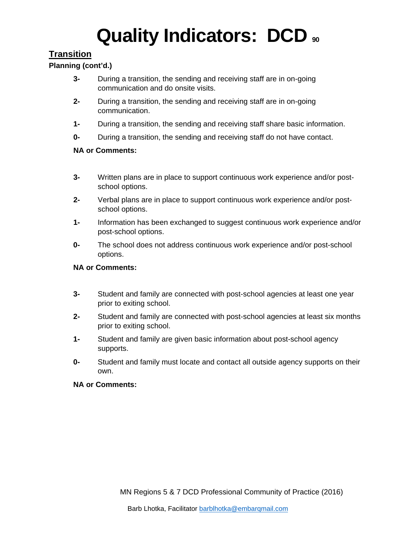# **Transition**

#### **Planning (cont'd.)**

- **3-** During a transition, the sending and receiving staff are in on-going communication and do onsite visits.
- **2-** During a transition, the sending and receiving staff are in on-going communication.
- **1-** During a transition, the sending and receiving staff share basic information.
- **0-** During a transition, the sending and receiving staff do not have contact.

#### **NA or Comments:**

- **3-** Written plans are in place to support continuous work experience and/or postschool options.
- **2-** Verbal plans are in place to support continuous work experience and/or postschool options.
- **1-** Information has been exchanged to suggest continuous work experience and/or post-school options.
- **0-** The school does not address continuous work experience and/or post-school options.

#### **NA or Comments:**

- **3-** Student and family are connected with post-school agencies at least one year prior to exiting school.
- **2-** Student and family are connected with post-school agencies at least six months prior to exiting school.
- **1-** Student and family are given basic information about post-school agency supports.
- **0-** Student and family must locate and contact all outside agency supports on their own.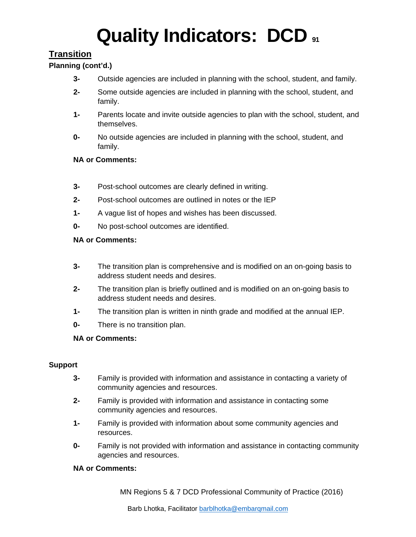# **Transition**

#### **Planning (cont'd.)**

- **3-** Outside agencies are included in planning with the school, student, and family.
- **2-** Some outside agencies are included in planning with the school, student, and family.
- **1-** Parents locate and invite outside agencies to plan with the school, student, and themselves.
- **0-** No outside agencies are included in planning with the school, student, and family.

#### **NA or Comments:**

- **3-** Post-school outcomes are clearly defined in writing.
- **2-** Post-school outcomes are outlined in notes or the IEP
- **1-** A vague list of hopes and wishes has been discussed.
- **0-** No post-school outcomes are identified.

#### **NA or Comments:**

- **3-** The transition plan is comprehensive and is modified on an on-going basis to address student needs and desires.
- **2-** The transition plan is briefly outlined and is modified on an on-going basis to address student needs and desires.
- **1-** The transition plan is written in ninth grade and modified at the annual IEP.
- **0-** There is no transition plan.

#### **NA or Comments:**

#### **Support**

- **3-** Family is provided with information and assistance in contacting a variety of community agencies and resources.
- **2-** Family is provided with information and assistance in contacting some community agencies and resources.
- **1-** Family is provided with information about some community agencies and resources.
- **0-** Family is not provided with information and assistance in contacting community agencies and resources.

#### **NA or Comments:**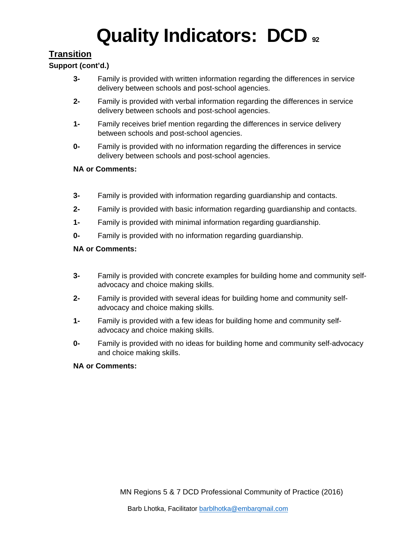# **Transition**

### **Support (cont'd.)**

- **3-** Family is provided with written information regarding the differences in service delivery between schools and post-school agencies.
- **2-** Family is provided with verbal information regarding the differences in service delivery between schools and post-school agencies.
- **1-** Family receives brief mention regarding the differences in service delivery between schools and post-school agencies.
- **0-** Family is provided with no information regarding the differences in service delivery between schools and post-school agencies.

#### **NA or Comments:**

- **3-** Family is provided with information regarding guardianship and contacts.
- **2-** Family is provided with basic information regarding guardianship and contacts.
- **1-** Family is provided with minimal information regarding guardianship.
- **0-** Family is provided with no information regarding guardianship.

#### **NA or Comments:**

- **3-** Family is provided with concrete examples for building home and community selfadvocacy and choice making skills.
- **2-** Family is provided with several ideas for building home and community selfadvocacy and choice making skills.
- **1-** Family is provided with a few ideas for building home and community selfadvocacy and choice making skills.
- **0-** Family is provided with no ideas for building home and community self-advocacy and choice making skills.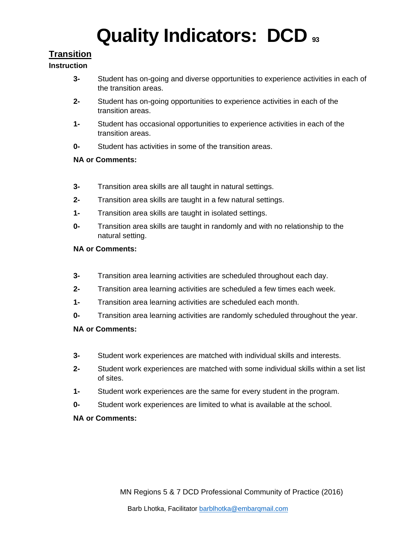# **Transition**

#### **Instruction**

- **3-** Student has on-going and diverse opportunities to experience activities in each of the transition areas.
- **2-** Student has on-going opportunities to experience activities in each of the transition areas.
- **1-** Student has occasional opportunities to experience activities in each of the transition areas.
- **0-** Student has activities in some of the transition areas.

### **NA or Comments:**

- **3-** Transition area skills are all taught in natural settings.
- **2-** Transition area skills are taught in a few natural settings.
- **1-** Transition area skills are taught in isolated settings.
- **0-** Transition area skills are taught in randomly and with no relationship to the natural setting.

#### **NA or Comments:**

- **3-** Transition area learning activities are scheduled throughout each day.
- **2-** Transition area learning activities are scheduled a few times each week.
- **1-** Transition area learning activities are scheduled each month.
- **0-** Transition area learning activities are randomly scheduled throughout the year.

### **NA or Comments:**

- **3-** Student work experiences are matched with individual skills and interests.
- **2-** Student work experiences are matched with some individual skills within a set list of sites.
- **1-** Student work experiences are the same for every student in the program.
- **0-** Student work experiences are limited to what is available at the school.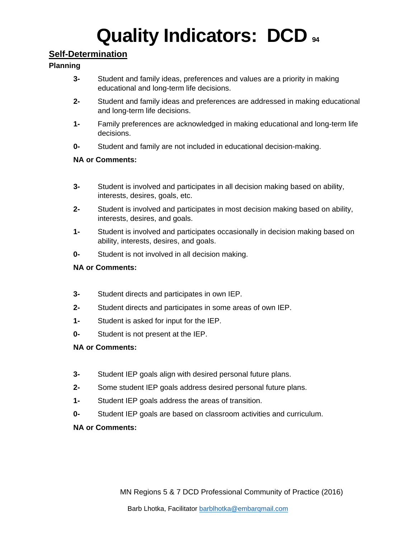### **Self-Determination**

#### **Planning**

- **3-** Student and family ideas, preferences and values are a priority in making educational and long-term life decisions.
- **2-** Student and family ideas and preferences are addressed in making educational and long-term life decisions.
- **1-** Family preferences are acknowledged in making educational and long-term life decisions.
- **0-** Student and family are not included in educational decision-making.

#### **NA or Comments:**

- **3-** Student is involved and participates in all decision making based on ability, interests, desires, goals, etc.
- **2-** Student is involved and participates in most decision making based on ability, interests, desires, and goals.
- **1-** Student is involved and participates occasionally in decision making based on ability, interests, desires, and goals.
- **0-** Student is not involved in all decision making.

#### **NA or Comments:**

- **3-** Student directs and participates in own IEP.
- **2-** Student directs and participates in some areas of own IEP.
- **1-** Student is asked for input for the IEP.
- **0-** Student is not present at the IEP.

#### **NA or Comments:**

- **3-** Student IEP goals align with desired personal future plans.
- **2-** Some student IEP goals address desired personal future plans.
- **1-** Student IEP goals address the areas of transition.
- **0-** Student IEP goals are based on classroom activities and curriculum.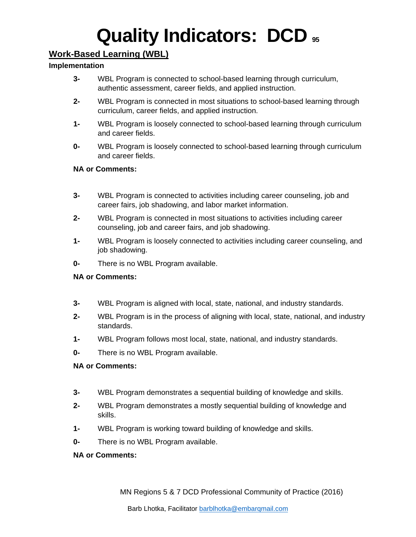# **Work-Based Learning (WBL)**

#### **Implementation**

- **3-** WBL Program is connected to school-based learning through curriculum, authentic assessment, career fields, and applied instruction.
- **2-** WBL Program is connected in most situations to school-based learning through curriculum, career fields, and applied instruction.
- **1-** WBL Program is loosely connected to school-based learning through curriculum and career fields.
- **0-** WBL Program is loosely connected to school-based learning through curriculum and career fields.

#### **NA or Comments:**

- **3-** WBL Program is connected to activities including career counseling, job and career fairs, job shadowing, and labor market information.
- **2-** WBL Program is connected in most situations to activities including career counseling, job and career fairs, and job shadowing.
- **1-** WBL Program is loosely connected to activities including career counseling, and job shadowing.
- **0-** There is no WBL Program available.

#### **NA or Comments:**

- **3-** WBL Program is aligned with local, state, national, and industry standards.
- **2-** WBL Program is in the process of aligning with local, state, national, and industry standards.
- **1-** WBL Program follows most local, state, national, and industry standards.
- **0-** There is no WBL Program available.

#### **NA or Comments:**

- **3-** WBL Program demonstrates a sequential building of knowledge and skills.
- **2-** WBL Program demonstrates a mostly sequential building of knowledge and skills.
- **1-** WBL Program is working toward building of knowledge and skills.
- **0-** There is no WBL Program available.

#### **NA or Comments:**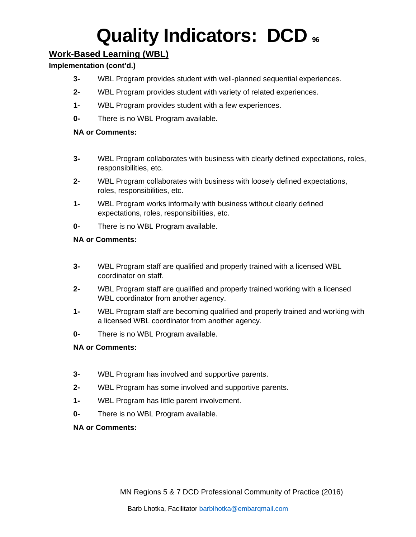# **Work-Based Learning (WBL)**

### **Implementation (cont'd.)**

- **3-** WBL Program provides student with well-planned sequential experiences.
- **2-** WBL Program provides student with variety of related experiences.
- **1-** WBL Program provides student with a few experiences.
- **0-** There is no WBL Program available.

#### **NA or Comments:**

- **3-** WBL Program collaborates with business with clearly defined expectations, roles, responsibilities, etc.
- **2-** WBL Program collaborates with business with loosely defined expectations, roles, responsibilities, etc.
- **1-** WBL Program works informally with business without clearly defined expectations, roles, responsibilities, etc.
- **0-** There is no WBL Program available.

### **NA or Comments:**

- **3-** WBL Program staff are qualified and properly trained with a licensed WBL coordinator on staff.
- **2-** WBL Program staff are qualified and properly trained working with a licensed WBL coordinator from another agency.
- **1-** WBL Program staff are becoming qualified and properly trained and working with a licensed WBL coordinator from another agency.
- **0-** There is no WBL Program available.

### **NA or Comments:**

- **3-** WBL Program has involved and supportive parents.
- **2-** WBL Program has some involved and supportive parents.
- **1-** WBL Program has little parent involvement.
- **0-** There is no WBL Program available.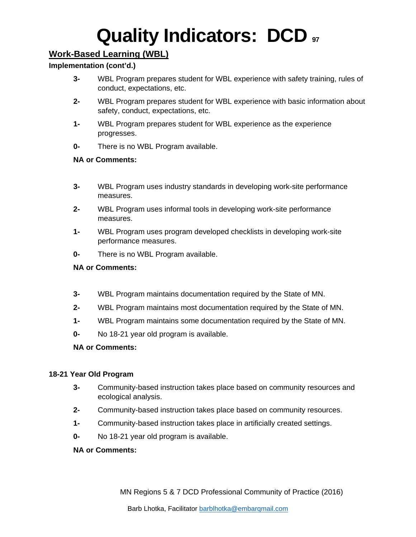# **Work-Based Learning (WBL)**

#### **Implementation (cont'd.)**

- **3-** WBL Program prepares student for WBL experience with safety training, rules of conduct, expectations, etc.
- **2-** WBL Program prepares student for WBL experience with basic information about safety, conduct, expectations, etc.
- **1-** WBL Program prepares student for WBL experience as the experience progresses.
- **0-** There is no WBL Program available.

#### **NA or Comments:**

- **3-** WBL Program uses industry standards in developing work-site performance measures.
- **2-** WBL Program uses informal tools in developing work-site performance measures.
- **1-** WBL Program uses program developed checklists in developing work-site performance measures.
- **0-** There is no WBL Program available.

#### **NA or Comments:**

- **3-** WBL Program maintains documentation required by the State of MN.
- **2-** WBL Program maintains most documentation required by the State of MN.
- **1-** WBL Program maintains some documentation required by the State of MN.
- **0-** No 18-21 year old program is available.

#### **NA or Comments:**

#### **18-21 Year Old Program**

- **3-** Community-based instruction takes place based on community resources and ecological analysis.
- **2-** Community-based instruction takes place based on community resources.
- **1-** Community-based instruction takes place in artificially created settings.
- **0-** No 18-21 year old program is available.

#### **NA or Comments:**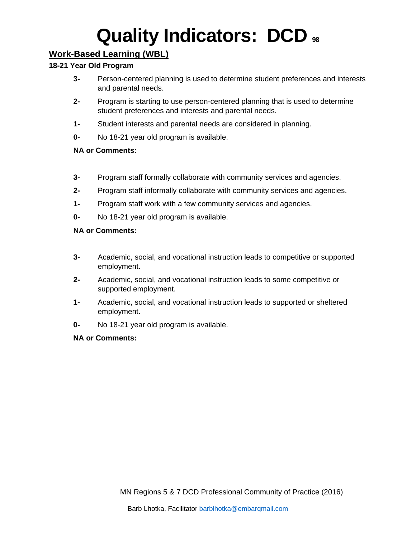# **Work-Based Learning (WBL)**

#### **18-21 Year Old Program**

- **3-** Person-centered planning is used to determine student preferences and interests and parental needs.
- **2-** Program is starting to use person-centered planning that is used to determine student preferences and interests and parental needs.
- **1-** Student interests and parental needs are considered in planning.
- **0-** No 18-21 year old program is available.

#### **NA or Comments:**

- **3-** Program staff formally collaborate with community services and agencies.
- **2-** Program staff informally collaborate with community services and agencies.
- **1-** Program staff work with a few community services and agencies.
- **0-** No 18-21 year old program is available.

#### **NA or Comments:**

- **3-** Academic, social, and vocational instruction leads to competitive or supported employment.
- **2-** Academic, social, and vocational instruction leads to some competitive or supported employment.
- **1-** Academic, social, and vocational instruction leads to supported or sheltered employment.
- **0-** No 18-21 year old program is available.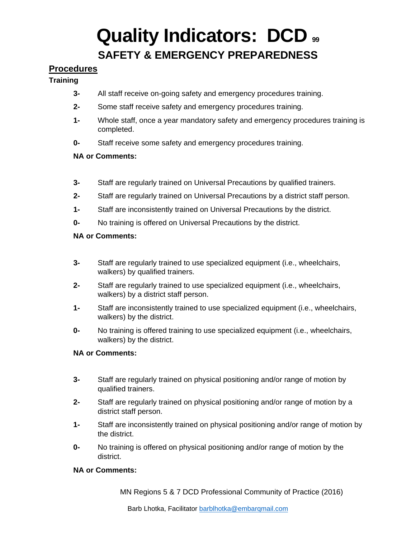# **Quality Indicators: DCD <sup>99</sup> SAFETY & EMERGENCY PREPAREDNESS**

### **Procedures**

#### **Training**

- **3-** All staff receive on-going safety and emergency procedures training.
- **2-** Some staff receive safety and emergency procedures training.
- **1-** Whole staff, once a year mandatory safety and emergency procedures training is completed.
- **0-** Staff receive some safety and emergency procedures training.

#### **NA or Comments:**

- **3-** Staff are regularly trained on Universal Precautions by qualified trainers.
- **2-** Staff are regularly trained on Universal Precautions by a district staff person.
- **1-** Staff are inconsistently trained on Universal Precautions by the district.
- **0-** No training is offered on Universal Precautions by the district.

#### **NA or Comments:**

- **3-** Staff are regularly trained to use specialized equipment (i.e., wheelchairs, walkers) by qualified trainers.
- **2-** Staff are regularly trained to use specialized equipment (i.e., wheelchairs, walkers) by a district staff person.
- **1-** Staff are inconsistently trained to use specialized equipment (i.e., wheelchairs, walkers) by the district.
- **0-** No training is offered training to use specialized equipment (i.e., wheelchairs, walkers) by the district.

#### **NA or Comments:**

- **3-** Staff are regularly trained on physical positioning and/or range of motion by qualified trainers.
- **2-** Staff are regularly trained on physical positioning and/or range of motion by a district staff person.
- **1-** Staff are inconsistently trained on physical positioning and/or range of motion by the district.
- **0-** No training is offered on physical positioning and/or range of motion by the district.

#### **NA or Comments:**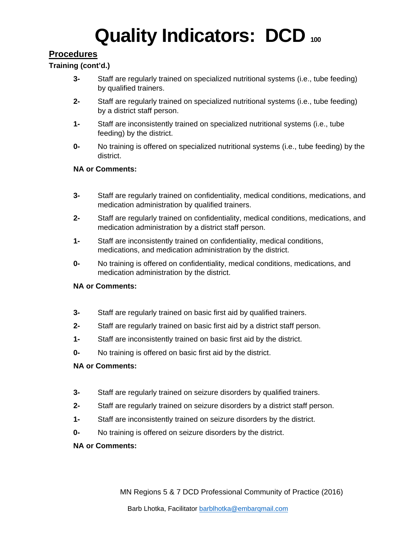## **Procedures**

#### **Training (cont'd.)**

- **3-** Staff are regularly trained on specialized nutritional systems (i.e., tube feeding) by qualified trainers.
- **2-** Staff are regularly trained on specialized nutritional systems (i.e., tube feeding) by a district staff person.
- **1-** Staff are inconsistently trained on specialized nutritional systems (i.e., tube feeding) by the district.
- **0-** No training is offered on specialized nutritional systems (i.e., tube feeding) by the district.

#### **NA or Comments:**

- **3-** Staff are regularly trained on confidentiality, medical conditions, medications, and medication administration by qualified trainers.
- **2-** Staff are regularly trained on confidentiality, medical conditions, medications, and medication administration by a district staff person.
- **1-** Staff are inconsistently trained on confidentiality, medical conditions, medications, and medication administration by the district.
- **0-** No training is offered on confidentiality, medical conditions, medications, and medication administration by the district.

#### **NA or Comments:**

- **3-** Staff are regularly trained on basic first aid by qualified trainers.
- **2-** Staff are regularly trained on basic first aid by a district staff person.
- **1-** Staff are inconsistently trained on basic first aid by the district.
- **0-** No training is offered on basic first aid by the district.

#### **NA or Comments:**

- **3-** Staff are regularly trained on seizure disorders by qualified trainers.
- **2-** Staff are regularly trained on seizure disorders by a district staff person.
- **1-** Staff are inconsistently trained on seizure disorders by the district.
- **0-** No training is offered on seizure disorders by the district.

#### **NA or Comments:**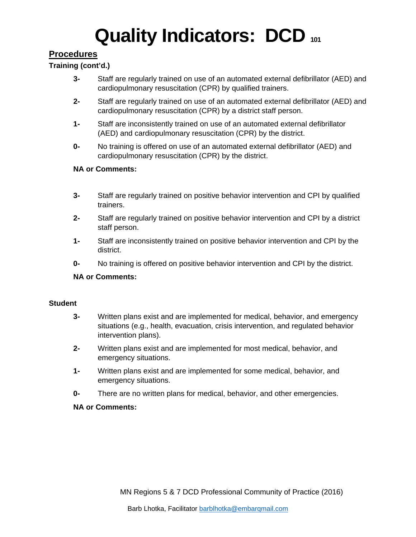## **Procedures**

#### **Training (cont'd.)**

- **3-** Staff are regularly trained on use of an automated external defibrillator (AED) and cardiopulmonary resuscitation (CPR) by qualified trainers.
- **2-** Staff are regularly trained on use of an automated external defibrillator (AED) and cardiopulmonary resuscitation (CPR) by a district staff person.
- **1-** Staff are inconsistently trained on use of an automated external defibrillator (AED) and cardiopulmonary resuscitation (CPR) by the district.
- **0-** No training is offered on use of an automated external defibrillator (AED) and cardiopulmonary resuscitation (CPR) by the district.

#### **NA or Comments:**

- **3-** Staff are regularly trained on positive behavior intervention and CPI by qualified trainers.
- **2-** Staff are regularly trained on positive behavior intervention and CPI by a district staff person.
- **1-** Staff are inconsistently trained on positive behavior intervention and CPI by the district.
- **0-** No training is offered on positive behavior intervention and CPI by the district.

#### **NA or Comments:**

#### **Student**

- **3-** Written plans exist and are implemented for medical, behavior, and emergency situations (e.g., health, evacuation, crisis intervention, and regulated behavior intervention plans).
- **2-** Written plans exist and are implemented for most medical, behavior, and emergency situations.
- **1-** Written plans exist and are implemented for some medical, behavior, and emergency situations.
- **0-** There are no written plans for medical, behavior, and other emergencies.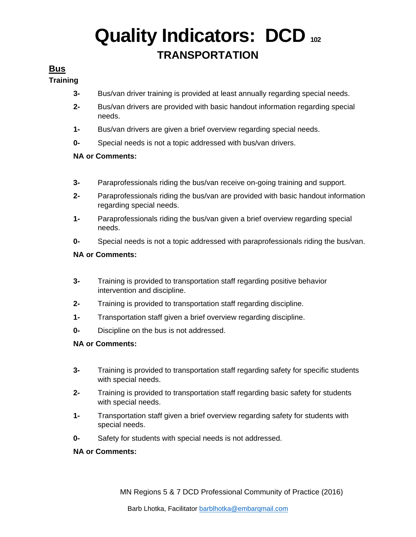# **Quality Indicators: DCD 102 TRANSPORTATION**

### **Bus**

#### **Training**

- **3-** Bus/van driver training is provided at least annually regarding special needs.
- **2-** Bus/van drivers are provided with basic handout information regarding special needs.
- **1-** Bus/van drivers are given a brief overview regarding special needs.
- **0-** Special needs is not a topic addressed with bus/van drivers.

#### **NA or Comments:**

- **3-** Paraprofessionals riding the bus/van receive on-going training and support.
- **2-** Paraprofessionals riding the bus/van are provided with basic handout information regarding special needs.
- **1-** Paraprofessionals riding the bus/van given a brief overview regarding special needs.
- **0-** Special needs is not a topic addressed with paraprofessionals riding the bus/van.

#### **NA or Comments:**

- **3-** Training is provided to transportation staff regarding positive behavior intervention and discipline.
- **2-** Training is provided to transportation staff regarding discipline.
- **1-** Transportation staff given a brief overview regarding discipline.
- **0-** Discipline on the bus is not addressed.

#### **NA or Comments:**

- **3-** Training is provided to transportation staff regarding safety for specific students with special needs.
- **2-** Training is provided to transportation staff regarding basic safety for students with special needs.
- **1-** Transportation staff given a brief overview regarding safety for students with special needs.
- **0-** Safety for students with special needs is not addressed.

#### **NA or Comments:**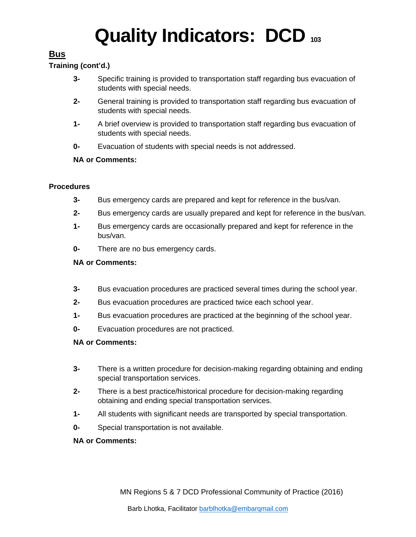# **Bus**

### **Training (cont'd.)**

- **3-** Specific training is provided to transportation staff regarding bus evacuation of students with special needs.
- **2-** General training is provided to transportation staff regarding bus evacuation of students with special needs.
- **1-** A brief overview is provided to transportation staff regarding bus evacuation of students with special needs.
- **0-** Evacuation of students with special needs is not addressed.

#### **NA or Comments:**

#### **Procedures**

- **3-** Bus emergency cards are prepared and kept for reference in the bus/van.
- **2-** Bus emergency cards are usually prepared and kept for reference in the bus/van.
- **1-** Bus emergency cards are occasionally prepared and kept for reference in the bus/van.
- **0-** There are no bus emergency cards.

#### **NA or Comments:**

- **3-** Bus evacuation procedures are practiced several times during the school year.
- **2-** Bus evacuation procedures are practiced twice each school year.
- **1-** Bus evacuation procedures are practiced at the beginning of the school year.
- **0-** Evacuation procedures are not practiced.

- **3-** There is a written procedure for decision-making regarding obtaining and ending special transportation services.
- **2-** There is a best practice/historical procedure for decision-making regarding obtaining and ending special transportation services.
- **1-** All students with significant needs are transported by special transportation.
- **0-** Special transportation is not available.
- **NA or Comments:**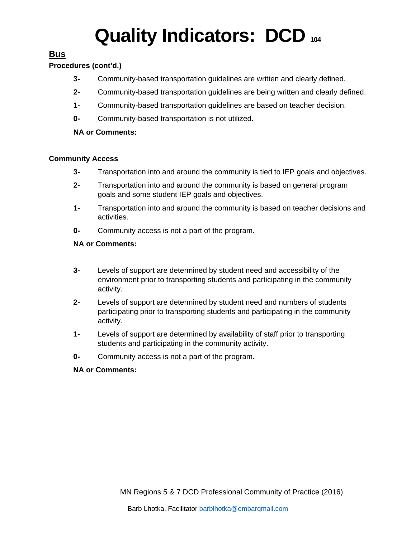### **Bus**

#### **Procedures (cont'd.)**

- **3-** Community-based transportation guidelines are written and clearly defined.
- **2-** Community-based transportation guidelines are being written and clearly defined.
- **1-** Community-based transportation guidelines are based on teacher decision.
- **0-** Community-based transportation is not utilized.

#### **NA or Comments:**

#### **Community Access**

- **3-** Transportation into and around the community is tied to IEP goals and objectives.
- **2-** Transportation into and around the community is based on general program goals and some student IEP goals and objectives.
- **1-** Transportation into and around the community is based on teacher decisions and activities.
- **0-** Community access is not a part of the program.

#### **NA or Comments:**

- **3-** Levels of support are determined by student need and accessibility of the environment prior to transporting students and participating in the community activity.
- **2-** Levels of support are determined by student need and numbers of students participating prior to transporting students and participating in the community activity.
- **1-** Levels of support are determined by availability of staff prior to transporting students and participating in the community activity.
- **0-** Community access is not a part of the program.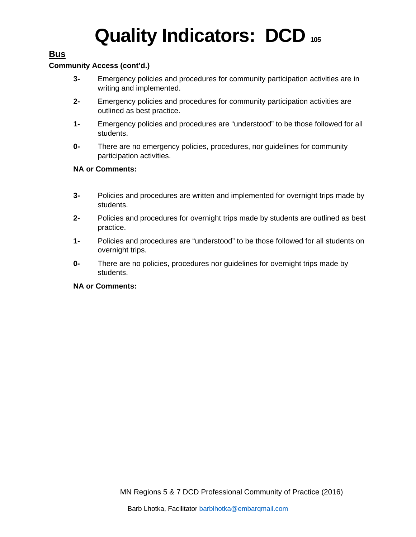### **Bus**

#### **Community Access (cont'd.)**

- **3-** Emergency policies and procedures for community participation activities are in writing and implemented.
- **2-** Emergency policies and procedures for community participation activities are outlined as best practice.
- **1-** Emergency policies and procedures are "understood" to be those followed for all students.
- **0-** There are no emergency policies, procedures, nor guidelines for community participation activities.

#### **NA or Comments:**

- **3-** Policies and procedures are written and implemented for overnight trips made by students.
- **2-** Policies and procedures for overnight trips made by students are outlined as best practice.
- **1-** Policies and procedures are "understood" to be those followed for all students on overnight trips.
- **0-** There are no policies, procedures nor guidelines for overnight trips made by students.